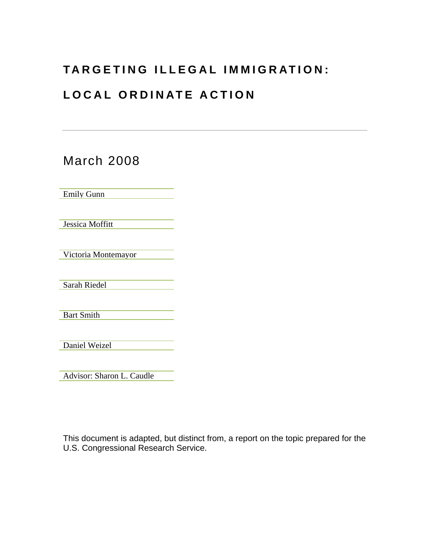## **TARGETING ILLEGAL IMMIGRATION:**

# **LOCAL ORDINATE ACTION**

March 2008 Emily Gunn Jessica Moffitt Victoria Montemayor Sarah Riedel Bart Smith Daniel Weizel

Advisor: Sharon L. Caudle

This document is adapted, but distinct from, a report on the topic prepared for the U.S. Congressional Research Service.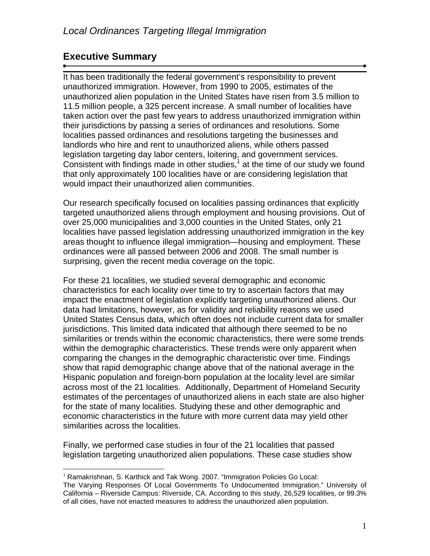## **Executive Summary**

 $\overline{a}$ 

It has been traditionally the federal government's responsibility to prevent unauthorized immigration. However, from 1990 to 2005, estimates of the unauthorized alien population in the United States have risen from 3.5 million to 11.5 million people, a 325 percent increase. A small number of localities have taken action over the past few years to address unauthorized immigration within their jurisdictions by passing a series of ordinances and resolutions. Some localities passed ordinances and resolutions targeting the businesses and landlords who hire and rent to unauthorized aliens, while others passed legislation targeting day labor centers, loitering, and government services. Consistent with findings made in other studies, $<sup>1</sup>$  at the time of our study we found</sup> that only approximately 100 localities have or are considering legislation that would impact their unauthorized alien communities.

Our research specifically focused on localities passing ordinances that explicitly targeted unauthorized aliens through employment and housing provisions. Out of over 25,000 municipalities and 3,000 counties in the United States, only 21 localities have passed legislation addressing unauthorized immigration in the key areas thought to influence illegal immigration—housing and employment. These ordinances were all passed between 2006 and 2008. The small number is surprising, given the recent media coverage on the topic.

For these 21 localities, we studied several demographic and economic characteristics for each locality over time to try to ascertain factors that may impact the enactment of legislation explicitly targeting unauthorized aliens. Our data had limitations, however, as for validity and reliability reasons we used United States Census data, which often does not include current data for smaller jurisdictions. This limited data indicated that although there seemed to be no similarities or trends within the economic characteristics, there were some trends within the demographic characteristics. These trends were only apparent when comparing the changes in the demographic characteristic over time. Findings show that rapid demographic change above that of the national average in the Hispanic population and foreign-born population at the locality level are similar across most of the 21 localities. Additionally, Department of Homeland Security estimates of the percentages of unauthorized aliens in each state are also higher for the state of many localities. Studying these and other demographic and economic characteristics in the future with more current data may yield other similarities across the localities.

Finally, we performed case studies in four of the 21 localities that passed legislation targeting unauthorized alien populations. These case studies show

 $1$  Ramakrishnan, S. Karthick and Tak Wong. 2007. "Immigration Policies Go Local:

The Varying Responses Of Local Governments To Undocumented Immigration." University of California – Riverside Campus: Riverside, CA. According to this study, 26,529 localities, or 99.3% of all cities, have not enacted measures to address the unauthorized alien population.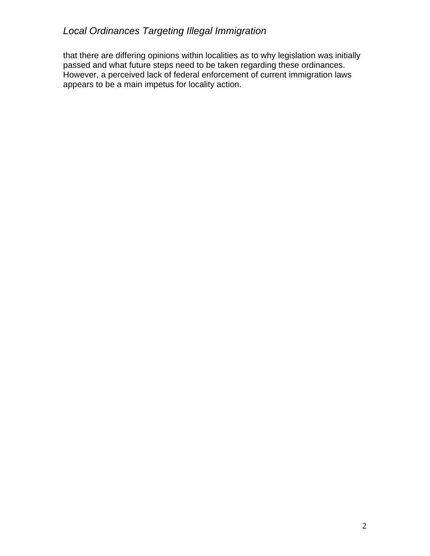that there are differing opinions within localities as to why legislation was initially passed and what future steps need to be taken regarding these ordinances. However, a perceived lack of federal enforcement of current immigration laws appears to be a main impetus for locality action.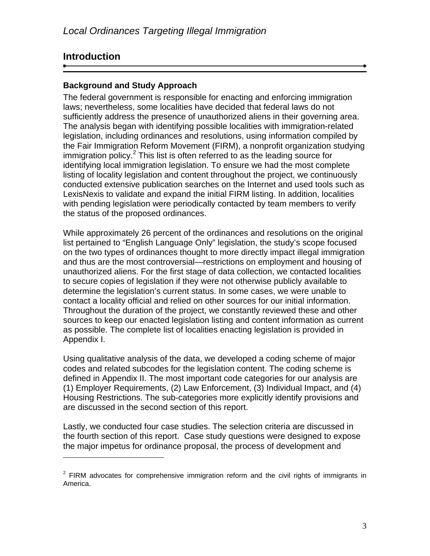## **Introduction**

<u>.</u>

## **Background and Study Approach**

The federal government is responsible for enacting and enforcing immigration laws; nevertheless, some localities have decided that federal laws do not sufficiently address the presence of unauthorized aliens in their governing area. The analysis began with identifying possible localities with immigration-related legislation, including ordinances and resolutions, using information compiled by the Fair Immigration Reform Movement (FIRM), a nonprofit organization studying immigration policy.<sup>2</sup> This list is often referred to as the leading source for identifying local immigration legislation. To ensure we had the most complete listing of locality legislation and content throughout the project, we continuously conducted extensive publication searches on the Internet and used tools such as LexisNexis to validate and expand the initial FIRM listing. In addition, localities with pending legislation were periodically contacted by team members to verify the status of the proposed ordinances.

While approximately 26 percent of the ordinances and resolutions on the original list pertained to "English Language Only" legislation, the study's scope focused on the two types of ordinances thought to more directly impact illegal immigration and thus are the most controversial—restrictions on employment and housing of unauthorized aliens. For the first stage of data collection, we contacted localities to secure copies of legislation if they were not otherwise publicly available to determine the legislation's current status. In some cases, we were unable to contact a locality official and relied on other sources for our initial information. Throughout the duration of the project, we constantly reviewed these and other sources to keep our enacted legislation listing and content information as current as possible. The complete list of localities enacting legislation is provided in Appendix I.

Using qualitative analysis of the data, we developed a coding scheme of major codes and related subcodes for the legislation content. The coding scheme is defined in Appendix II. The most important code categories for our analysis are (1) Employer Requirements, (2) Law Enforcement, (3) Individual Impact, and (4) Housing Restrictions. The sub-categories more explicitly identify provisions and are discussed in the second section of this report.

Lastly, we conducted four case studies. The selection criteria are discussed in the fourth section of this report. Case study questions were designed to expose the major impetus for ordinance proposal, the process of development and

 $2$  FIRM advocates for comprehensive immigration reform and the civil rights of immigrants in America.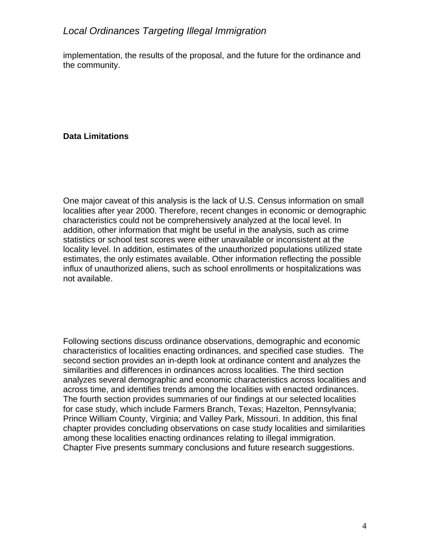implementation, the results of the proposal, and the future for the ordinance and the community.

## **Data Limitations**

One major caveat of this analysis is the lack of U.S. Census information on small localities after year 2000. Therefore, recent changes in economic or demographic characteristics could not be comprehensively analyzed at the local level. In addition, other information that might be useful in the analysis, such as crime statistics or school test scores were either unavailable or inconsistent at the locality level. In addition, estimates of the unauthorized populations utilized state estimates, the only estimates available. Other information reflecting the possible influx of unauthorized aliens, such as school enrollments or hospitalizations was not available.

Following sections discuss ordinance observations, demographic and economic characteristics of localities enacting ordinances, and specified case studies. The second section provides an in-depth look at ordinance content and analyzes the similarities and differences in ordinances across localities. The third section analyzes several demographic and economic characteristics across localities and across time, and identifies trends among the localities with enacted ordinances. The fourth section provides summaries of our findings at our selected localities for case study, which include Farmers Branch, Texas; Hazelton, Pennsylvania; Prince William County, Virginia; and Valley Park, Missouri. In addition, this final chapter provides concluding observations on case study localities and similarities among these localities enacting ordinances relating to illegal immigration. Chapter Five presents summary conclusions and future research suggestions.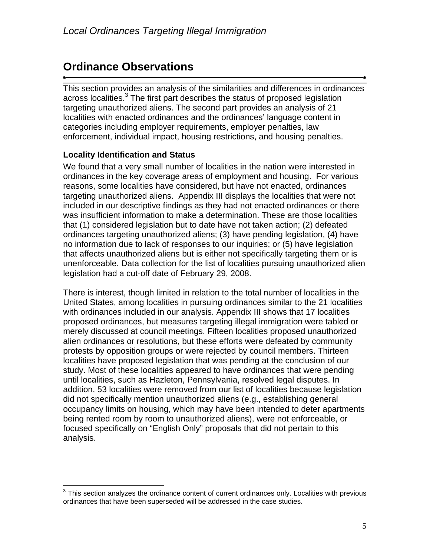# **Ordinance Observations**

This section provides an analysis of the similarities and differences in ordinances across localities.<sup>3</sup> The first part describes the status of proposed legislation targeting unauthorized aliens. The second part provides an analysis of 21 localities with enacted ordinances and the ordinances' language content in categories including employer requirements, employer penalties, law enforcement, individual impact, housing restrictions, and housing penalties.

## **Locality Identification and Status**

We found that a very small number of localities in the nation were interested in ordinances in the key coverage areas of employment and housing. For various reasons, some localities have considered, but have not enacted, ordinances targeting unauthorized aliens. Appendix III displays the localities that were not included in our descriptive findings as they had not enacted ordinances or there was insufficient information to make a determination. These are those localities that (1) considered legislation but to date have not taken action; (2) defeated ordinances targeting unauthorized aliens; (3) have pending legislation, (4) have no information due to lack of responses to our inquiries; or (5) have legislation that affects unauthorized aliens but is either not specifically targeting them or is unenforceable. Data collection for the list of localities pursuing unauthorized alien legislation had a cut-off date of February 29, 2008.

There is interest, though limited in relation to the total number of localities in the United States, among localities in pursuing ordinances similar to the 21 localities with ordinances included in our analysis. Appendix III shows that 17 localities proposed ordinances, but measures targeting illegal immigration were tabled or merely discussed at council meetings. Fifteen localities proposed unauthorized alien ordinances or resolutions, but these efforts were defeated by community protests by opposition groups or were rejected by council members. Thirteen localities have proposed legislation that was pending at the conclusion of our study. Most of these localities appeared to have ordinances that were pending until localities, such as Hazleton, Pennsylvania, resolved legal disputes. In addition, 53 localities were removed from our list of localities because legislation did not specifically mention unauthorized aliens (e.g., establishing general occupancy limits on housing, which may have been intended to deter apartments being rented room by room to unauthorized aliens), were not enforceable, or focused specifically on "English Only" proposals that did not pertain to this analysis.

 3 This section analyzes the ordinance content of current ordinances only. Localities with previous ordinances that have been superseded will be addressed in the case studies.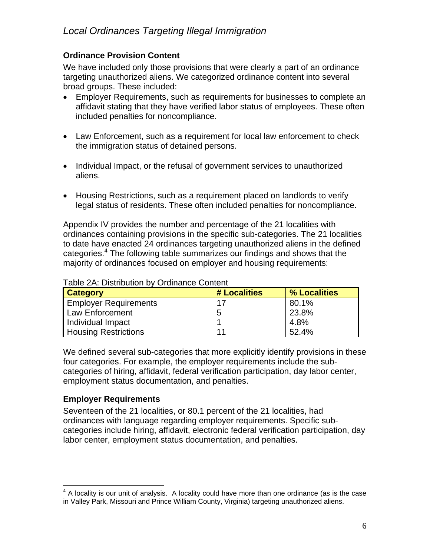## **Ordinance Provision Content**

We have included only those provisions that were clearly a part of an ordinance targeting unauthorized aliens. We categorized ordinance content into several broad groups. These included:

- Employer Requirements, such as requirements for businesses to complete an affidavit stating that they have verified labor status of employees. These often included penalties for noncompliance.
- Law Enforcement, such as a requirement for local law enforcement to check the immigration status of detained persons.
- Individual Impact, or the refusal of government services to unauthorized aliens.
- Housing Restrictions, such as a requirement placed on landlords to verify legal status of residents. These often included penalties for noncompliance.

Appendix IV provides the number and percentage of the 21 localities with ordinances containing provisions in the specific sub-categories. The 21 localities to date have enacted 24 ordinances targeting unauthorized aliens in the defined categories.<sup>4</sup> The following table summarizes our findings and shows that the majority of ordinances focused on employer and housing requirements:

| <b>Category</b>              | # Localities | % Localities |
|------------------------------|--------------|--------------|
| <b>Employer Requirements</b> | 17           | 80.1%        |
| Law Enforcement              | 5            | 23.8%        |
| Individual Impact            |              | 4.8%         |
| <b>Housing Restrictions</b>  | 11           | 52.4%        |

#### Table 2A: Distribution by Ordinance Content

We defined several sub-categories that more explicitly identify provisions in these four categories. For example, the employer requirements include the subcategories of hiring, affidavit, federal verification participation, day labor center, employment status documentation, and penalties.

## **Employer Requirements**

Seventeen of the 21 localities, or 80.1 percent of the 21 localities, had ordinances with language regarding employer requirements. Specific subcategories include hiring, affidavit, electronic federal verification participation, day labor center, employment status documentation, and penalties.

<sup>&</sup>lt;u>4</u><br>A locality is our unit of analysis. A locality could have more than one ordinance (as is the case in Valley Park, Missouri and Prince William County, Virginia) targeting unauthorized aliens.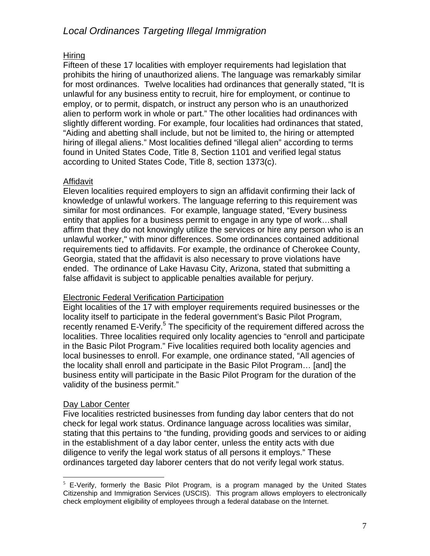## Hiring

Fifteen of these 17 localities with employer requirements had legislation that prohibits the hiring of unauthorized aliens. The language was remarkably similar for most ordinances. Twelve localities had ordinances that generally stated, "It is unlawful for any business entity to recruit, hire for employment, or continue to employ, or to permit, dispatch, or instruct any person who is an unauthorized alien to perform work in whole or part." The other localities had ordinances with slightly different wording. For example, four localities had ordinances that stated, "Aiding and abetting shall include, but not be limited to, the hiring or attempted hiring of illegal aliens." Most localities defined "illegal alien" according to terms found in United States Code, Title 8, Section 1101 and verified legal status according to United States Code, Title 8, section 1373(c).

## **Affidavit**

Eleven localities required employers to sign an affidavit confirming their lack of knowledge of unlawful workers. The language referring to this requirement was similar for most ordinances. For example, language stated, "Every business entity that applies for a business permit to engage in any type of work…shall affirm that they do not knowingly utilize the services or hire any person who is an unlawful worker," with minor differences. Some ordinances contained additional requirements tied to affidavits. For example, the ordinance of Cherokee County, Georgia, stated that the affidavit is also necessary to prove violations have ended. The ordinance of Lake Havasu City, Arizona, stated that submitting a false affidavit is subject to applicable penalties available for perjury.

#### Electronic Federal Verification Participation

Eight localities of the 17 with employer requirements required businesses or the locality itself to participate in the federal government's Basic Pilot Program, recently renamed E-Verify.<sup>5</sup> The specificity of the requirement differed across the localities. Three localities required only locality agencies to "enroll and participate in the Basic Pilot Program." Five localities required both locality agencies and local businesses to enroll. For example, one ordinance stated, "All agencies of the locality shall enroll and participate in the Basic Pilot Program… [and] the business entity will participate in the Basic Pilot Program for the duration of the validity of the business permit."

## Day Labor Center

Five localities restricted businesses from funding day labor centers that do not check for legal work status. Ordinance language across localities was similar, stating that this pertains to "the funding, providing goods and services to or aiding in the establishment of a day labor center, unless the entity acts with due diligence to verify the legal work status of all persons it employs." These ordinances targeted day laborer centers that do not verify legal work status.

 $\overline{a}$  $5$  E-Verify, formerly the Basic Pilot Program, is a program managed by the United States Citizenship and Immigration Services (USCIS). This program allows employers to electronically check employment eligibility of employees through a federal database on the Internet.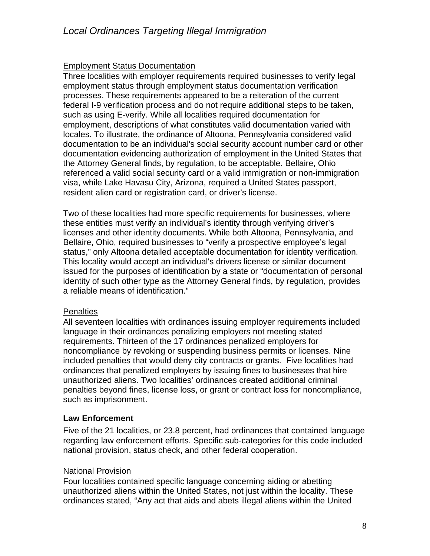## Employment Status Documentation

Three localities with employer requirements required businesses to verify legal employment status through employment status documentation verification processes. These requirements appeared to be a reiteration of the current federal I-9 verification process and do not require additional steps to be taken, such as using E-verify. While all localities required documentation for employment, descriptions of what constitutes valid documentation varied with locales. To illustrate, the ordinance of Altoona, Pennsylvania considered valid documentation to be an individual's social security account number card or other documentation evidencing authorization of employment in the United States that the Attorney General finds, by regulation, to be acceptable. Bellaire, Ohio referenced a valid social security card or a valid immigration or non-immigration visa, while Lake Havasu City, Arizona, required a United States passport, resident alien card or registration card, or driver's license.

Two of these localities had more specific requirements for businesses, where these entities must verify an individual's identity through verifying driver's licenses and other identity documents. While both Altoona, Pennsylvania, and Bellaire, Ohio, required businesses to "verify a prospective employee's legal status," only Altoona detailed acceptable documentation for identity verification. This locality would accept an individual's drivers license or similar document issued for the purposes of identification by a state or "documentation of personal identity of such other type as the Attorney General finds, by regulation, provides a reliable means of identification."

#### **Penalties**

All seventeen localities with ordinances issuing employer requirements included language in their ordinances penalizing employers not meeting stated requirements. Thirteen of the 17 ordinances penalized employers for noncompliance by revoking or suspending business permits or licenses. Nine included penalties that would deny city contracts or grants. Five localities had ordinances that penalized employers by issuing fines to businesses that hire unauthorized aliens. Two localities' ordinances created additional criminal penalties beyond fines, license loss, or grant or contract loss for noncompliance, such as imprisonment.

#### **Law Enforcement**

Five of the 21 localities, or 23.8 percent, had ordinances that contained language regarding law enforcement efforts. Specific sub-categories for this code included national provision, status check, and other federal cooperation.

#### **National Provision**

Four localities contained specific language concerning aiding or abetting unauthorized aliens within the United States, not just within the locality. These ordinances stated, "Any act that aids and abets illegal aliens within the United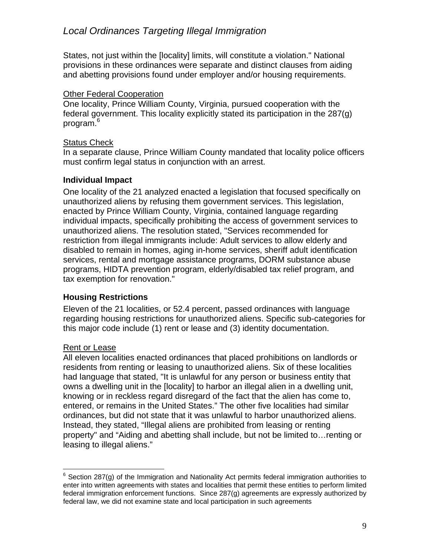States, not just within the [locality] limits, will constitute a violation." National provisions in these ordinances were separate and distinct clauses from aiding and abetting provisions found under employer and/or housing requirements.

#### Other Federal Cooperation

One locality, Prince William County, Virginia, pursued cooperation with the federal government. This locality explicitly stated its participation in the 287(g) program.<sup>6</sup>

#### Status Check

In a separate clause, Prince William County mandated that locality police officers must confirm legal status in conjunction with an arrest.

#### **Individual Impact**

One locality of the 21 analyzed enacted a legislation that focused specifically on unauthorized aliens by refusing them government services. This legislation, enacted by Prince William County, Virginia, contained language regarding individual impacts, specifically prohibiting the access of government services to unauthorized aliens. The resolution stated, "Services recommended for restriction from illegal immigrants include: Adult services to allow elderly and disabled to remain in homes, aging in-home services, sheriff adult identification services, rental and mortgage assistance programs, DORM substance abuse programs, HIDTA prevention program, elderly/disabled tax relief program, and tax exemption for renovation."

#### **Housing Restrictions**

Eleven of the 21 localities, or 52.4 percent, passed ordinances with language regarding housing restrictions for unauthorized aliens. Specific sub-categories for this major code include (1) rent or lease and (3) identity documentation.

#### Rent or Lease

All eleven localities enacted ordinances that placed prohibitions on landlords or residents from renting or leasing to unauthorized aliens. Six of these localities had language that stated, "It is unlawful for any person or business entity that owns a dwelling unit in the [locality] to harbor an illegal alien in a dwelling unit, knowing or in reckless regard disregard of the fact that the alien has come to, entered, or remains in the United States." The other five localities had similar ordinances, but did not state that it was unlawful to harbor unauthorized aliens. Instead, they stated, "Illegal aliens are prohibited from leasing or renting property" and "Aiding and abetting shall include, but not be limited to…renting or leasing to illegal aliens."

<sup>————————————————————&</sup>lt;br><sup>6</sup> Section 287(g) of the Immigration and Nationality Act permits federal immigration authorities to enter into written agreements with states and localities that permit these entities to perform limited federal immigration enforcement functions. Since 287(g) agreements are expressly authorized by federal law, we did not examine state and local participation in such agreements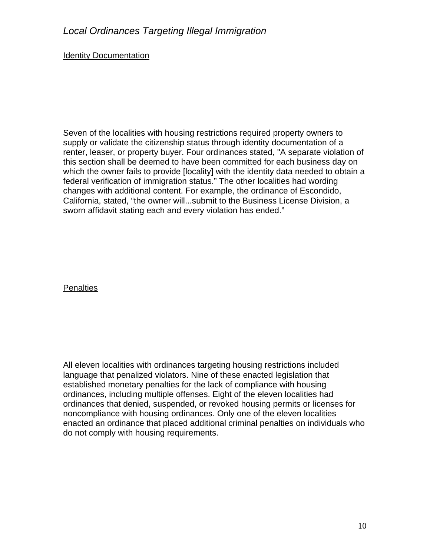## Identity Documentation

Seven of the localities with housing restrictions required property owners to supply or validate the citizenship status through identity documentation of a renter, leaser, or property buyer. Four ordinances stated, "A separate violation of this section shall be deemed to have been committed for each business day on which the owner fails to provide [locality] with the identity data needed to obtain a federal verification of immigration status." The other localities had wording changes with additional content. For example, the ordinance of Escondido, California, stated, "the owner will...submit to the Business License Division, a sworn affidavit stating each and every violation has ended."

#### **Penalties**

All eleven localities with ordinances targeting housing restrictions included language that penalized violators. Nine of these enacted legislation that established monetary penalties for the lack of compliance with housing ordinances, including multiple offenses. Eight of the eleven localities had ordinances that denied, suspended, or revoked housing permits or licenses for noncompliance with housing ordinances. Only one of the eleven localities enacted an ordinance that placed additional criminal penalties on individuals who do not comply with housing requirements.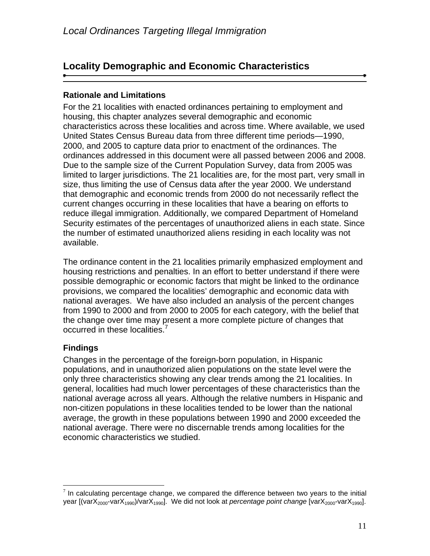## **Locality Demographic and Economic Characteristics**

## **Rationale and Limitations**

For the 21 localities with enacted ordinances pertaining to employment and housing, this chapter analyzes several demographic and economic characteristics across these localities and across time. Where available, we used United States Census Bureau data from three different time periods—1990, 2000, and 2005 to capture data prior to enactment of the ordinances. The ordinances addressed in this document were all passed between 2006 and 2008. Due to the sample size of the Current Population Survey, data from 2005 was limited to larger jurisdictions. The 21 localities are, for the most part, very small in size, thus limiting the use of Census data after the year 2000. We understand that demographic and economic trends from 2000 do not necessarily reflect the current changes occurring in these localities that have a bearing on efforts to reduce illegal immigration. Additionally, we compared Department of Homeland Security estimates of the percentages of unauthorized aliens in each state. Since the number of estimated unauthorized aliens residing in each locality was not available.

The ordinance content in the 21 localities primarily emphasized employment and housing restrictions and penalties. In an effort to better understand if there were possible demographic or economic factors that might be linked to the ordinance provisions, we compared the localities' demographic and economic data with national averages. We have also included an analysis of the percent changes from 1990 to 2000 and from 2000 to 2005 for each category, with the belief that the change over time may present a more complete picture of changes that occurred in these localities.<sup>7</sup>

## **Findings**

1

Changes in the percentage of the foreign-born population, in Hispanic populations, and in unauthorized alien populations on the state level were the only three characteristics showing any clear trends among the 21 localities. In general, localities had much lower percentages of these characteristics than the national average across all years. Although the relative numbers in Hispanic and non-citizen populations in these localities tended to be lower than the national average, the growth in these populations between 1990 and 2000 exceeded the national average. There were no discernable trends among localities for the economic characteristics we studied.

 $<sup>7</sup>$  In calculating percentage change, we compared the difference between two years to the initial</sup> year [(varX<sub>2000</sub>-varX<sub>1990</sub>)/varX<sub>1990</sub>]. We did not look at *percentage point change* [varX<sub>2000</sub>-varX<sub>1990</sub>].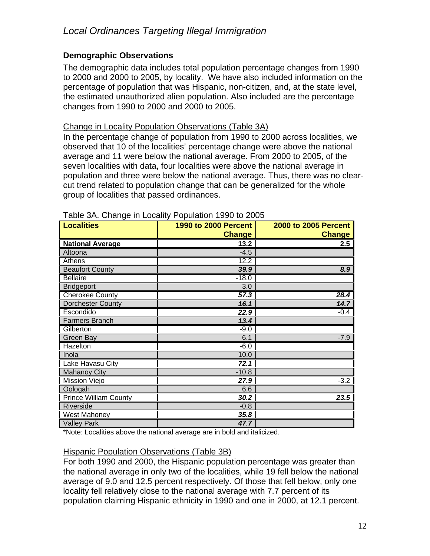## **Demographic Observations**

The demographic data includes total population percentage changes from 1990 to 2000 and 2000 to 2005, by locality. We have also included information on the percentage of population that was Hispanic, non-citizen, and, at the state level, the estimated unauthorized alien population. Also included are the percentage changes from 1990 to 2000 and 2000 to 2005.

#### Change in Locality Population Observations (Table 3A)

In the percentage change of population from 1990 to 2000 across localities, we observed that 10 of the localities' percentage change were above the national average and 11 were below the national average. From 2000 to 2005, of the seven localities with data, four localities were above the national average in population and three were below the national average. Thus, there was no clearcut trend related to population change that can be generalized for the whole group of localities that passed ordinances.

| <b>Localities</b>            | <b>1990 to 2000 Percent</b><br><b>Change</b> | <b>2000 to 2005 Percent</b><br><b>Change</b> |
|------------------------------|----------------------------------------------|----------------------------------------------|
| <b>National Average</b>      | 13.2                                         | 2.5                                          |
| Altoona                      | $-4.5$                                       |                                              |
| Athens                       | 12.2                                         |                                              |
| <b>Beaufort County</b>       | 39.9                                         | 8.9                                          |
| <b>Bellaire</b>              | $-18.0$                                      |                                              |
| <b>Bridgeport</b>            | 3.0                                          |                                              |
| <b>Cherokee County</b>       | 57.3                                         | 28.4                                         |
| Dorchester County            | 16.1                                         | 14.7                                         |
| Escondido                    | 22.9                                         | $-0.4$                                       |
| Farmers Branch               | 13.4                                         |                                              |
| Gilberton                    | $-9.0$                                       |                                              |
| Green Bay                    | 6.1                                          | $-7.9$                                       |
| Hazelton                     | $-6.0$                                       |                                              |
| Inola                        | 10.0                                         |                                              |
| Lake Havasu City             | 72.1                                         |                                              |
| <b>Mahanoy City</b>          | $-10.8$                                      |                                              |
| Mission Viejo                | 27.9                                         | $-3.2$                                       |
| Oologah                      | 6.6                                          |                                              |
| <b>Prince William County</b> | 30.2                                         | 23.5                                         |
| Riverside                    | $-0.8$                                       |                                              |
| <b>West Mahoney</b>          | 35.8                                         |                                              |
| <b>Valley Park</b>           | 47.7                                         |                                              |

#### Table 3A. Change in Locality Population 1990 to 2005

\*Note: Localities above the national average are in bold and italicized.

#### Hispanic Population Observations (Table 3B)

For both 1990 and 2000, the Hispanic population percentage was greater than the national average in only two of the localities, while 19 fell below the national average of 9.0 and 12.5 percent respectively. Of those that fell below, only one locality fell relatively close to the national average with 7.7 percent of its population claiming Hispanic ethnicity in 1990 and one in 2000, at 12.1 percent.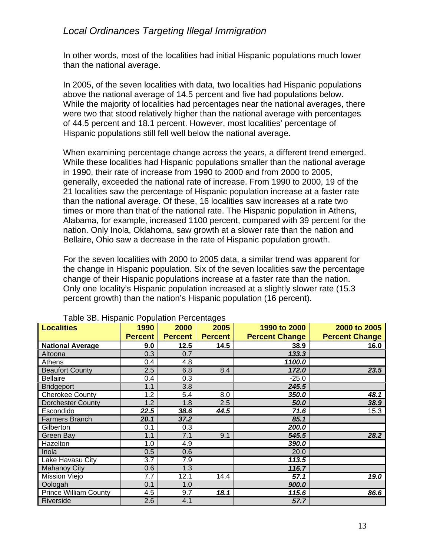In other words, most of the localities had initial Hispanic populations much lower than the national average.

In 2005, of the seven localities with data, two localities had Hispanic populations above the national average of 14.5 percent and five had populations below. While the majority of localities had percentages near the national averages, there were two that stood relatively higher than the national average with percentages of 44.5 percent and 18.1 percent. However, most localities' percentage of Hispanic populations still fell well below the national average.

When examining percentage change across the years, a different trend emerged. While these localities had Hispanic populations smaller than the national average in 1990, their rate of increase from 1990 to 2000 and from 2000 to 2005, generally, exceeded the national rate of increase. From 1990 to 2000, 19 of the 21 localities saw the percentage of Hispanic population increase at a faster rate than the national average. Of these, 16 localities saw increases at a rate two times or more than that of the national rate. The Hispanic population in Athens, Alabama, for example, increased 1100 percent, compared with 39 percent for the nation. Only Inola, Oklahoma, saw growth at a slower rate than the nation and Bellaire, Ohio saw a decrease in the rate of Hispanic population growth.

For the seven localities with 2000 to 2005 data, a similar trend was apparent for the change in Hispanic population. Six of the seven localities saw the percentage change of their Hispanic populations increase at a faster rate than the nation. Only one locality's Hispanic population increased at a slightly slower rate (15.3 percent growth) than the nation's Hispanic population (16 percent).

| <b>Localities</b>            | 1990             | 2000             | 2005           | 1990 to 2000          | 2000 to 2005          |
|------------------------------|------------------|------------------|----------------|-----------------------|-----------------------|
|                              | <b>Percent</b>   | <b>Percent</b>   | <b>Percent</b> | <b>Percent Change</b> | <b>Percent Change</b> |
| <b>National Average</b>      | 9.0              | 12.5             | 14.5           | 38.9                  | 16.0                  |
| Altoona                      | 0.3              | 0.7              |                | 133.3                 |                       |
| Athens                       | 0.4              | $\overline{4.8}$ |                | 1100.0                |                       |
| <b>Beaufort County</b>       | 2.5              | 6.8              | 8.4            | 172.0                 | 23.5                  |
| <b>Bellaire</b>              | 0.4              | 0.3              |                | $-25.0$               |                       |
| <b>Bridgeport</b>            | 1.1              | 3.8              |                | 245.5                 |                       |
| <b>Cherokee County</b>       | $\overline{1.2}$ | 5.4              | 8.0            | 350.0                 | 48.1                  |
| <b>Dorchester County</b>     | 1.2              | 1.8              | 2.5            | 50.0                  | 38.9                  |
| Escondido                    | 22.5             | 38.6             | 44.5           | 71.6                  | 15.3                  |
| <b>Farmers Branch</b>        | 20.1             | 37.2             |                | 85.1                  |                       |
| Gilberton                    | 0.1              | 0.3              |                | 200.0                 |                       |
| Green Bay                    | 1.1              | 7.1              | 9.1            | 545.5                 | 28.2                  |
| Hazelton                     | 1.0              | 4.9              |                | 390.0                 |                       |
| Inola                        | 0.5              | 0.6              |                | 20.0                  |                       |
| Lake Havasu City             | 3.7              | 7.9              |                | 113.5                 |                       |
| <b>Mahanoy City</b>          | 0.6              | 1.3              |                | 116.7                 |                       |
| Mission Viejo                | 7.7              | 12.1             | 14.4           | 57.1                  | 19.0                  |
| Oologah                      | 0.1              | 1.0              |                | 900.0                 |                       |
| <b>Prince William County</b> | 4.5              | 9.7              | 18.1           | 115.6                 | 86.6                  |
| Riverside                    | 2.6              | 4.1              |                | 57.7                  |                       |

#### Table 3B. Hispanic Population Percentages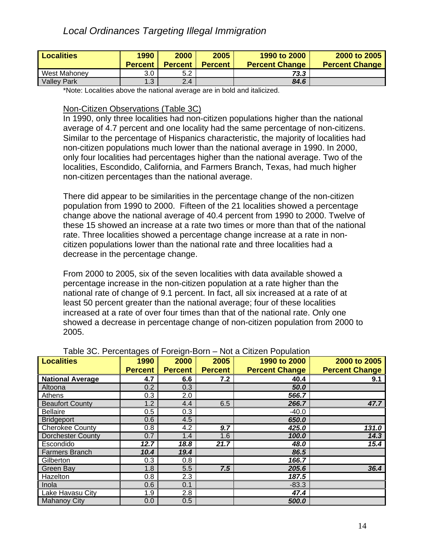| <b>Localities</b>                                              | 1990               | 2000           | 2005           | 1990 to 2000          | 2000 to 2005          |
|----------------------------------------------------------------|--------------------|----------------|----------------|-----------------------|-----------------------|
|                                                                | <b>Percent</b>     | <b>Percent</b> | <b>Percent</b> | <b>Percent Change</b> | <b>Percent Change</b> |
| West Mahoney                                                   | 3.0                | 5.2            |                | 73.3                  |                       |
| <b>Valley Park</b>                                             | . 3                | 2.4            |                | 84.6                  |                       |
| $\mathbf{a}$ , and $\mathbf{a}$ , and $\mathbf{a}$<br>$\cdots$ | $\sim$ 1.10 $\sim$ |                |                | .                     |                       |

\*Note: Localities above the national average are in bold and italicized.

#### Non-Citizen Observations (Table 3C)

In 1990, only three localities had non-citizen populations higher than the national average of 4.7 percent and one locality had the same percentage of non-citizens. Similar to the percentage of Hispanics characteristic, the majority of localities had non-citizen populations much lower than the national average in 1990. In 2000, only four localities had percentages higher than the national average. Two of the localities, Escondido, California, and Farmers Branch, Texas, had much higher non-citizen percentages than the national average.

There did appear to be similarities in the percentage change of the non-citizen population from 1990 to 2000. Fifteen of the 21 localities showed a percentage change above the national average of 40.4 percent from 1990 to 2000. Twelve of these 15 showed an increase at a rate two times or more than that of the national rate. Three localities showed a percentage change increase at a rate in noncitizen populations lower than the national rate and three localities had a decrease in the percentage change.

From 2000 to 2005, six of the seven localities with data available showed a percentage increase in the non-citizen population at a rate higher than the national rate of change of 9.1 percent. In fact, all six increased at a rate of at least 50 percent greater than the national average; four of these localities increased at a rate of over four times than that of the national rate. Only one showed a decrease in percentage change of non-citizen population from 2000 to 2005.

|                          | ∙ອ−<br>∙ສ∙             |                        |                        |                                       |                                       |  |  |
|--------------------------|------------------------|------------------------|------------------------|---------------------------------------|---------------------------------------|--|--|
| <b>Localities</b>        | 1990<br><b>Percent</b> | 2000<br><b>Percent</b> | 2005<br><b>Percent</b> | 1990 to 2000<br><b>Percent Change</b> | 2000 to 2005<br><b>Percent Change</b> |  |  |
|                          |                        |                        |                        |                                       |                                       |  |  |
| <b>National Average</b>  | 4.7                    | 6.6                    | 7.2                    | 40.4                                  | 9.1                                   |  |  |
| Altoona                  | 0.2                    | 0.3                    |                        | 50.0                                  |                                       |  |  |
| <b>Athens</b>            | 0.3                    | 2.0                    |                        | 566.7                                 |                                       |  |  |
| <b>Beaufort County</b>   | 1.2                    | 4.4                    | 6.5                    | 266.7                                 | 47.7                                  |  |  |
| <b>Bellaire</b>          | 0.5                    | 0.3                    |                        | $-40.0$                               |                                       |  |  |
| <b>Bridgeport</b>        | 0.6                    | 4.5                    |                        | 650.0                                 |                                       |  |  |
| <b>Cherokee County</b>   | 0.8                    | 4.2                    | 9.7                    | 425.0                                 | 131.0                                 |  |  |
| <b>Dorchester County</b> | 0.7                    | 1.4                    | 1.6                    | 100.0                                 | 14.3                                  |  |  |
| Escondido                | 12.7                   | 18.8                   | 21.7                   | 48.0                                  | 15.4                                  |  |  |
| <b>Farmers Branch</b>    | 10.4                   | 19.4                   |                        | 86.5                                  |                                       |  |  |
| Gilberton                | 0.3                    | 0.8                    |                        | 166.7                                 |                                       |  |  |
| Green Bay                | 1.8                    | 5.5                    | 7.5                    | 205.6                                 | 36.4                                  |  |  |
| Hazelton                 | 0.8                    | 2.3                    |                        | 187.5                                 |                                       |  |  |
| Inola                    | 0.6                    | 0.1                    |                        | $-83.3$                               |                                       |  |  |
| Lake Havasu City         | 1.9                    | 2.8                    |                        | 47.4                                  |                                       |  |  |
| <b>Mahanoy City</b>      | 0.0                    | 0.5                    |                        | 500.0                                 |                                       |  |  |

#### Table 3C. Percentages of Foreign-Born – Not a Citizen Population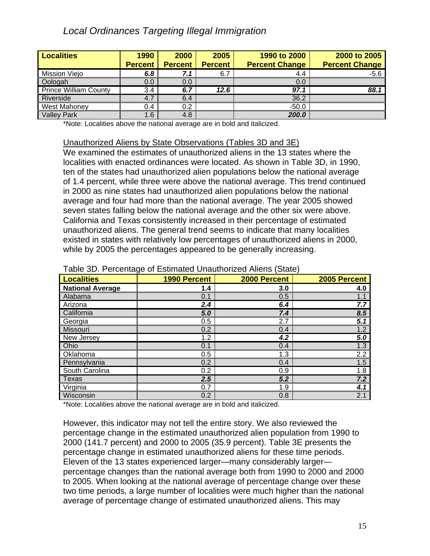| <b>Localities</b>            | 1990           | 2000           | 2005           | 1990 to 2000          | 2000 to 2005          |
|------------------------------|----------------|----------------|----------------|-----------------------|-----------------------|
|                              | <b>Percent</b> | <b>Percent</b> | <b>Percent</b> | <b>Percent Change</b> | <b>Percent Change</b> |
| Mission Viejo                | 6.8            | 7.1            | 6.7            | 4.4                   | $-5.6$                |
| Oologah                      | 0.0            | 0.0            |                | 0.0                   |                       |
| <b>Prince William County</b> | 3.4            | 6.7            | 12.6           | 97.                   | 88.1                  |
| Riverside                    | 4.7            | 6.4            |                | 36.2                  |                       |
| West Mahoney                 | 0.4            | 0.2            |                | $-50.0$               |                       |
| <b>Valley Park</b>           | 6.6            | 4.8            |                | 200.0                 |                       |

\*Note: Localities above the national average are in bold and italicized.

#### Unauthorized Aliens by State Observations (Tables 3D and 3E)

We examined the estimates of unauthorized aliens in the 13 states where the localities with enacted ordinances were located. As shown in Table 3D, in 1990, ten of the states had unauthorized alien populations below the national average of 1.4 percent, while three were above the national average. This trend continued in 2000 as nine states had unauthorized alien populations below the national average and four had more than the national average. The year 2005 showed seven states falling below the national average and the other six were above. California and Texas consistently increased in their percentage of estimated unauthorized aliens. The general trend seems to indicate that many localities existed in states with relatively low percentages of unauthorized aliens in 2000, while by 2005 the percentages appeared to be generally increasing.

| <b>Localities</b>       | ັ<br><b>1990 Percent</b> | 2000 Percent     | 2005 Percent     |
|-------------------------|--------------------------|------------------|------------------|
| <b>National Average</b> | 1.4                      | 3.0              | 4.0              |
| Alabama                 | 0.1                      | 0.5              | 1.1              |
| Arizona                 | 2.4                      | 6.4              | 7.7              |
| California              | 5.0                      | 7.4              | 8.5              |
| Georgia                 | 0.5                      | $\overline{2.7}$ | 5.1              |
| Missouri                | 0.2                      | 0.4              | 1.2              |
| New Jersey              | 1.2                      | 4.2              | $\overline{5.0}$ |
| Ohio                    | 0.1                      | 0.4              | 1.3              |
| Oklahoma                | 0.5                      | 1.3              | $\overline{2.2}$ |
| Pennsylvania            | 0.2                      | 0.4              | 1.5              |
| South Carolina          | 0.2                      | 0.9              | $\overline{1.8}$ |
| <b>Texas</b>            | 2.5                      | 5.2              | 7.2              |
| Virginia                | 0.7                      | 1.9              | 4.1              |
| Wisconsin               | 0.2                      | 0.8              | $\overline{2.1}$ |

#### Table 3D. Percentage of Estimated Unauthorized Aliens (State)

\*Note: Localities above the national average are in bold and italicized.

However, this indicator may not tell the entire story. We also reviewed the percentage change in the estimated unauthorized alien population from 1990 to 2000 (141.7 percent) and 2000 to 2005 (35.9 percent). Table 3E presents the percentage change in estimated unauthorized aliens for these time periods. Eleven of the 13 states experienced larger—many considerably larger percentage changes than the national average both from 1990 to 2000 and 2000 to 2005. When looking at the national average of percentage change over these two time periods, a large number of localities were much higher than the national average of percentage change of estimated unauthorized aliens. This may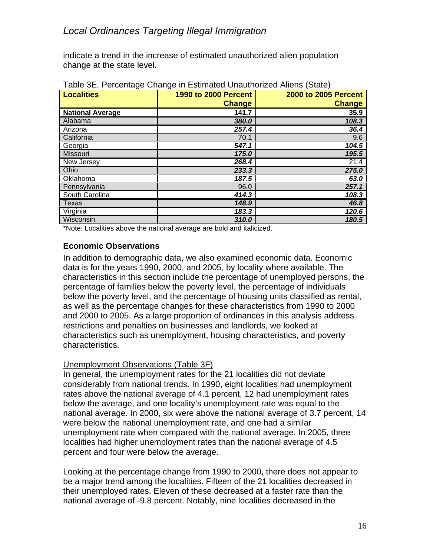indicate a trend in the increase of estimated unauthorized alien population change at the state level.

| <b>Localities</b>       | <b>1990 to 2000 Percent</b> | 2000 to 2005 Percent |
|-------------------------|-----------------------------|----------------------|
|                         | <b>Change</b>               | <b>Change</b>        |
| <b>National Average</b> | 141.7                       | 35.9                 |
| Alabama                 | 380.0                       | 108.3                |
| Arizona                 | 257.4                       | 36.4                 |
| California              | 70.1                        | 9.6                  |
| Georgia                 | 547.1                       | 104.5                |
| Missouri                | 175.0                       | 195.5                |
| New Jersey              | 268.4                       | 21.4                 |
| Ohio                    | 233.3                       | 275.0                |
| Oklahoma                | 187.5                       | 63.0                 |
| Pennsylvania            | 96.0                        | 257.1                |
| South Carolina          | 414.3                       | 108.3                |
| <b>Texas</b>            | 148.9                       | 46.8                 |
| Virginia                | 183.3                       | 120.6                |
| Wisconsin               | 310.0                       | 180.5                |

Table 3E. Percentage Change in Estimated Unauthorized Aliens (State)

\*Note: Localities above the national average are bold and italicized.

#### **Economic Observations**

In addition to demographic data, we also examined economic data. Economic data is for the years 1990, 2000, and 2005, by locality where available. The characteristics in this section include the percentage of unemployed persons, the percentage of families below the poverty level, the percentage of individuals below the poverty level, and the percentage of housing units classified as rental, as well as the percentage changes for these characteristics from 1990 to 2000 and 2000 to 2005. As a large proportion of ordinances in this analysis address restrictions and penalties on businesses and landlords, we looked at characteristics such as unemployment, housing characteristics, and poverty characteristics.

#### Unemployment Observations (Table 3F)

In general, the unemployment rates for the 21 localities did not deviate considerably from national trends. In 1990, eight localities had unemployment rates above the national average of 4.1 percent, 12 had unemployment rates below the average, and one locality's unemployment rate was equal to the national average. In 2000, six were above the national average of 3.7 percent, 14 were below the national unemployment rate, and one had a similar unemployment rate when compared with the national average. In 2005, three localities had higher unemployment rates than the national average of 4.5 percent and four were below the average.

Looking at the percentage change from 1990 to 2000, there does not appear to be a major trend among the localities. Fifteen of the 21 localities decreased in their unemployed rates. Eleven of these decreased at a faster rate than the national average of -9.8 percent. Notably, nine localities decreased in the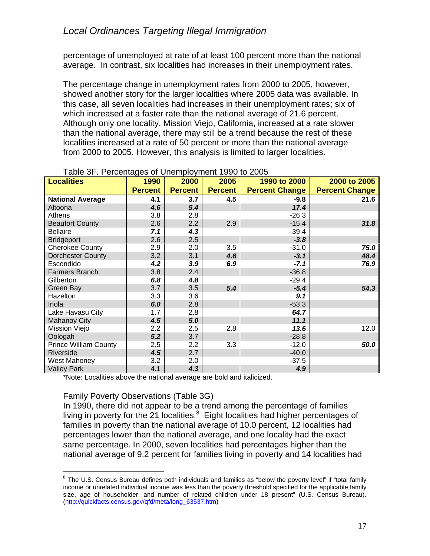percentage of unemployed at rate of at least 100 percent more than the national average. In contrast, six localities had increases in their unemployment rates.

The percentage change in unemployment rates from 2000 to 2005, however, showed another story for the larger localities where 2005 data was available. In this case, all seven localities had increases in their unemployment rates; six of which increased at a faster rate than the national average of 21.6 percent. Although only one locality, Mission Viejo, California, increased at a rate slower than the national average, there may still be a trend because the rest of these localities increased at a rate of 50 percent or more than the national average from 2000 to 2005. However, this analysis is limited to larger localities.

| $1000$ of $11$ order hagoo of orient proprietic 1000 to 2000<br><b>Localities</b> | 1990           | 2000           | 2005           | 1990 to 2000          | 2000 to 2005          |
|-----------------------------------------------------------------------------------|----------------|----------------|----------------|-----------------------|-----------------------|
|                                                                                   |                |                |                |                       |                       |
|                                                                                   | <b>Percent</b> | <b>Percent</b> | <b>Percent</b> | <b>Percent Change</b> | <b>Percent Change</b> |
| <b>National Average</b>                                                           | 4.1            | 3.7            | 4.5            | $-9.8$                | 21.6                  |
| Altoona                                                                           | 4.6            | 5.4            |                | 17.4                  |                       |
| Athens                                                                            | 3.8            | 2.8            |                | $-26.3$               |                       |
| <b>Beaufort County</b>                                                            | 2.6            | 2.2            | 2.9            | $-15.4$               | 31.8                  |
| <b>Bellaire</b>                                                                   | 7.1            | 4.3            |                | $-39.4$               |                       |
| <b>Bridgeport</b>                                                                 | 2.6            | 2.5            |                | $-3.8$                |                       |
| <b>Cherokee County</b>                                                            | 2.9            | 2.0            | 3.5            | $-31.0$               | 75.0                  |
| <b>Dorchester County</b>                                                          | 3.2            | 3.1            | 4.6            | $-3.1$                | 48.4                  |
| Escondido                                                                         | 4.2            | 3.9            | 6.9            | $-7.1$                | 76.9                  |
| <b>Farmers Branch</b>                                                             | 3.8            | 2.4            |                | $-36.8$               |                       |
| Gilberton                                                                         | 6.8            | 4.8            |                | $-29.4$               |                       |
| Green Bay                                                                         | 3.7            | 3.5            | 5.4            | $-5.4$                | 54.3                  |
| Hazelton                                                                          | 3.3            | 3.6            |                | 9.1                   |                       |
| Inola                                                                             | 6.0            | 2.8            |                | $-53.3$               |                       |
| Lake Havasu City                                                                  | 1.7            | 2.8            |                | 64.7                  |                       |
| <b>Mahanoy City</b>                                                               | 4.5            | 5.0            |                | 11.1                  |                       |
| Mission Viejo                                                                     | 2.2            | 2.5            | 2.8            | 13.6                  | 12.0                  |
| Oologah                                                                           | 5.2            | 3.7            |                | $-28.8$               |                       |
| <b>Prince William County</b>                                                      | 2.5            | 2.2            | 3.3            | $-12.0$               | 50.0                  |
| Riverside                                                                         | 4.5            | 2.7            |                | $-40.0$               |                       |
| West Mahoney                                                                      | 3.2            | 2.0            |                | $-37.5$               |                       |
| <b>Valley Park</b>                                                                | 4.1            | 4.3            |                | 4.9                   |                       |

| Table 3F. Percentages of Unemployment 1990 to 2005 |  |  |  |  |  |
|----------------------------------------------------|--|--|--|--|--|
|----------------------------------------------------|--|--|--|--|--|

\*Note: Localities above the national average are bold and italicized.

#### Family Poverty Observations (Table 3G)

1

In 1990, there did not appear to be a trend among the percentage of families living in poverty for the  $21$  localities. $8$  Eight localities had higher percentages of families in poverty than the national average of 10.0 percent, 12 localities had percentages lower than the national average, and one locality had the exact same percentage. In 2000, seven localities had percentages higher than the national average of 9.2 percent for families living in poverty and 14 localities had

 $8$  The U.S. Census Bureau defines both individuals and families as "below the poverty level" if "total family income or unrelated individual income was less than the poverty threshold specified for the applicable family size, age of householder, and number of related children under 18 present" (U.S. Census Bureau). (http://quickfacts.census.gov/qfd/meta/long\_63537.htm)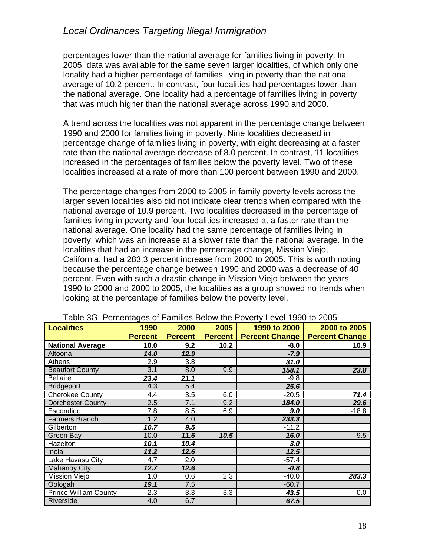percentages lower than the national average for families living in poverty. In 2005, data was available for the same seven larger localities, of which only one locality had a higher percentage of families living in poverty than the national average of 10.2 percent. In contrast, four localities had percentages lower than the national average. One locality had a percentage of families living in poverty that was much higher than the national average across 1990 and 2000.

A trend across the localities was not apparent in the percentage change between 1990 and 2000 for families living in poverty. Nine localities decreased in percentage change of families living in poverty, with eight decreasing at a faster rate than the national average decrease of 8.0 percent. In contrast, 11 localities increased in the percentages of families below the poverty level. Two of these localities increased at a rate of more than 100 percent between 1990 and 2000.

The percentage changes from 2000 to 2005 in family poverty levels across the larger seven localities also did not indicate clear trends when compared with the national average of 10.9 percent. Two localities decreased in the percentage of families living in poverty and four localities increased at a faster rate than the national average. One locality had the same percentage of families living in poverty, which was an increase at a slower rate than the national average. In the localities that had an increase in the percentage change, Mission Viejo, California, had a 283.3 percent increase from 2000 to 2005. This is worth noting because the percentage change between 1990 and 2000 was a decrease of 40 percent. Even with such a drastic change in Mission Viejo between the years 1990 to 2000 and 2000 to 2005, the localities as a group showed no trends when looking at the percentage of families below the poverty level.

| <b>Localities</b>            | 1990           | 2000           | 2005           | 1990 to 2000          | 2000 to 2005          |
|------------------------------|----------------|----------------|----------------|-----------------------|-----------------------|
|                              | <b>Percent</b> | <b>Percent</b> | <b>Percent</b> | <b>Percent Change</b> | <b>Percent Change</b> |
| <b>National Average</b>      | 10.0           | 9.2            | 10.2           | $-8.0$                | 10.9                  |
| Altoona                      | 14.0           | 12.9           |                | $-7.9$                |                       |
| Athens                       | 2.9            | 3.8            |                | 31.0                  |                       |
| <b>Beaufort County</b>       | 3.1            | 8.0            | 9.9            | 158.1                 | 23.8                  |
| <b>Bellaire</b>              | 23.4           | 21.1           |                | $-9.8$                |                       |
| <b>Bridgeport</b>            | 4.3            | 5.4            |                | 25.6                  |                       |
| <b>Cherokee County</b>       | 4.4            | 3.5            | 6.0            | $-20.5$               | 71.4                  |
| Dorchester County            | 2.5            | 7.1            | 9.2            | 184.0                 | 29.6                  |
| Escondido                    | 7.8            | 8.5            | 6.9            | 9.0                   | $-18.8$               |
| <b>Farmers Branch</b>        | 1.2            | 4.0            |                | 233.3                 |                       |
| Gilberton                    | 10.7           | 9.5            |                | $-11.2$               |                       |
| Green Bay                    | 10.0           | 11.6           | 10.5           | 16.0                  | $-9.5$                |
| Hazelton                     | 10.1           | 10.4           |                | 3.0                   |                       |
| Inola                        | 11.2           | 12.6           |                | 12.5                  |                       |
| Lake Havasu City             | 4.7            | 2.0            |                | -57.4                 |                       |
| <b>Mahanoy City</b>          | 12.7           | 12.6           |                | $-0.8$                |                       |
| Mission Viejo                | 1.0            | 0.6            | 2.3            | $-40.0$               | 283.3                 |
| Oologah                      | 19.1           | 7.5            |                | $-60.7$               |                       |
| <b>Prince William County</b> | 2.3            | 3.3            | 3.3            | 43.5                  | 0.0                   |
| Riverside                    | 4.0            | 6.7            |                | 67.5                  |                       |

Table 3G. Percentages of Families Below the Poverty Level 1990 to 2005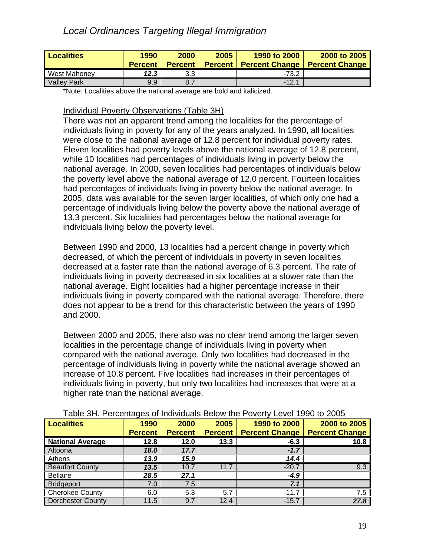| <b>Localities</b>  | 1990<br><b>Percent</b> | 2000<br><b>Percent</b> | 2005<br><b>Percent</b> | 1990 to 2000<br><b>Percent Change</b> | 2000 to 2005<br><b>Percent Change</b> |
|--------------------|------------------------|------------------------|------------------------|---------------------------------------|---------------------------------------|
| West Mahoney       | 12.3                   | 3.3                    |                        | $-73.2$                               |                                       |
| <b>Valley Park</b> | 9.9                    | $\overline{ }$<br>8.7  |                        | $-12.1$                               |                                       |

\*Note: Localities above the national average are bold and italicized.

#### Individual Poverty Observations (Table 3H)

There was not an apparent trend among the localities for the percentage of individuals living in poverty for any of the years analyzed. In 1990, all localities were close to the national average of 12.8 percent for individual poverty rates. Eleven localities had poverty levels above the national average of 12.8 percent, while 10 localities had percentages of individuals living in poverty below the national average. In 2000, seven localities had percentages of individuals below the poverty level above the national average of 12.0 percent. Fourteen localities had percentages of individuals living in poverty below the national average. In 2005, data was available for the seven larger localities, of which only one had a percentage of individuals living below the poverty above the national average of 13.3 percent. Six localities had percentages below the national average for individuals living below the poverty level.

Between 1990 and 2000, 13 localities had a percent change in poverty which decreased, of which the percent of individuals in poverty in seven localities decreased at a faster rate than the national average of 6.3 percent. The rate of individuals living in poverty decreased in six localities at a slower rate than the national average. Eight localities had a higher percentage increase in their individuals living in poverty compared with the national average. Therefore, there does not appear to be a trend for this characteristic between the years of 1990 and 2000.

Between 2000 and 2005, there also was no clear trend among the larger seven localities in the percentage change of individuals living in poverty when compared with the national average. Only two localities had decreased in the percentage of individuals living in poverty while the national average showed an increase of 10.8 percent. Five localities had increases in their percentages of individuals living in poverty, but only two localities had increases that were at a higher rate than the national average.

| Localities              | 1990           | 2000           | 2005           | 1990 to 2000          | 2000 to 2005          |  |  |  |
|-------------------------|----------------|----------------|----------------|-----------------------|-----------------------|--|--|--|
|                         | <b>Percent</b> | <b>Percent</b> | <b>Percent</b> | <b>Percent Change</b> | <b>Percent Change</b> |  |  |  |
| <b>National Average</b> | 12.8           | 12.0           | 13.3           | $-6.3$                | 10.8                  |  |  |  |
| Altoona                 | 18.0           | 17.7           |                | $-1.7$                |                       |  |  |  |
| Athens                  | 13.9           | 15.9           |                | 14.4                  |                       |  |  |  |
| <b>Beaufort County</b>  | 13.5           | 10.7           | 11.7           | $-20.7$               | 9.3                   |  |  |  |
| <b>Bellaire</b>         | 28.5           | 27.1           |                | -4.9                  |                       |  |  |  |
| <b>Bridgeport</b>       | 7.0            | 7.5            |                | 7.1                   |                       |  |  |  |
| <b>Cherokee County</b>  | 6.0            | 5.3            | 5.7            | $-11.7$               | 7.5                   |  |  |  |
| Dorchester County       | 11.5           | 9.7            | 12.4           | $-15.7$               | 27.8                  |  |  |  |

Table 3H. Percentages of Individuals Below the Poverty Level 1990 to 2005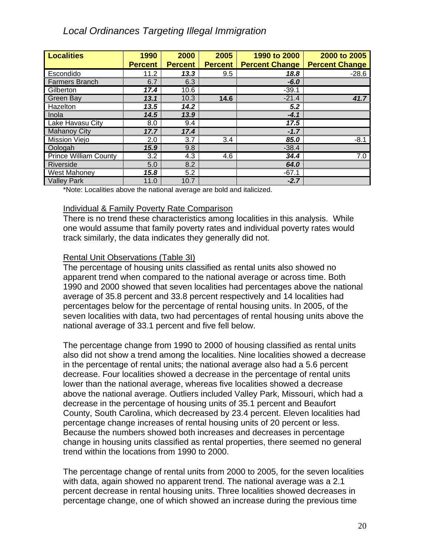| <b>Localities</b>            | 1990             | 2000           | 2005           | 1990 to 2000          | 2000 to 2005          |
|------------------------------|------------------|----------------|----------------|-----------------------|-----------------------|
|                              | <b>Percent</b>   | <b>Percent</b> | <b>Percent</b> | <b>Percent Change</b> | <b>Percent Change</b> |
| Escondido                    | 11.2             | 13.3           | 9.5            | 18.8                  | $-28.6$               |
| <b>Farmers Branch</b>        | 6.7              | 6.3            |                | $-6.0$                |                       |
| Gilberton                    | 17.4             | 10.6           |                | $-39.1$               |                       |
| Green Bay                    | 13.1             | 10.3           | 14.6           | $-21.4$               | 41.7                  |
| Hazelton                     | 13.5             | 14.2           |                | 5.2                   |                       |
| Inola                        | 14.5             | 13.9           |                | $-4.1$                |                       |
| Lake Havasu City             | 8.0              | 9.4            |                | 17.5                  |                       |
| <b>Mahanoy City</b>          | 17.7             | 17.4           |                | $-1.7$                |                       |
| Mission Viejo                | 2.0              | 3.7            | 3.4            | 85.0                  | $-8.1$                |
| Oologah                      | 15.9             | 9.8            |                | $-38.4$               |                       |
| <b>Prince William County</b> | $\overline{3.2}$ | 4.3            | 4.6            | 34.4                  | 7.0                   |
| Riverside                    | 5.0              | 8.2            |                | 64.0                  |                       |
| <b>West Mahoney</b>          | 15.8             | 5.2            |                | $-67.1$               |                       |
| <b>Valley Park</b>           | 11.0             | 10.7           |                | $-2.7$                |                       |

\*Note: Localities above the national average are bold and italicized.

#### Individual & Family Poverty Rate Comparison

There is no trend these characteristics among localities in this analysis. While one would assume that family poverty rates and individual poverty rates would track similarly, the data indicates they generally did not.

## Rental Unit Observations (Table 3I)

The percentage of housing units classified as rental units also showed no apparent trend when compared to the national average or across time. Both 1990 and 2000 showed that seven localities had percentages above the national average of 35.8 percent and 33.8 percent respectively and 14 localities had percentages below for the percentage of rental housing units. In 2005, of the seven localities with data, two had percentages of rental housing units above the national average of 33.1 percent and five fell below.

The percentage change from 1990 to 2000 of housing classified as rental units also did not show a trend among the localities. Nine localities showed a decrease in the percentage of rental units; the national average also had a 5.6 percent decrease. Four localities showed a decrease in the percentage of rental units lower than the national average, whereas five localities showed a decrease above the national average. Outliers included Valley Park, Missouri, which had a decrease in the percentage of housing units of 35.1 percent and Beaufort County, South Carolina, which decreased by 23.4 percent. Eleven localities had percentage change increases of rental housing units of 20 percent or less. Because the numbers showed both increases and decreases in percentage change in housing units classified as rental properties, there seemed no general trend within the locations from 1990 to 2000.

The percentage change of rental units from 2000 to 2005, for the seven localities with data, again showed no apparent trend. The national average was a 2.1 percent decrease in rental housing units. Three localities showed decreases in percentage change, one of which showed an increase during the previous time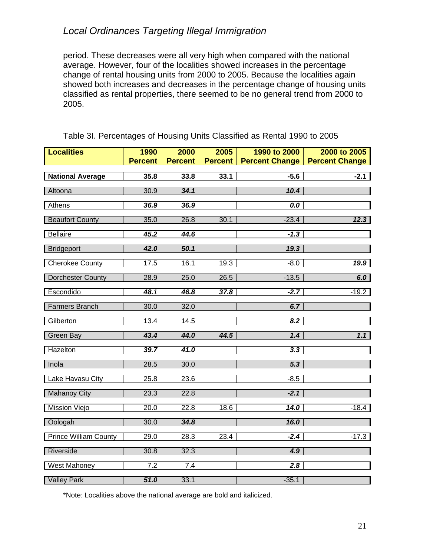period. These decreases were all very high when compared with the national average. However, four of the localities showed increases in the percentage change of rental housing units from 2000 to 2005. Because the localities again showed both increases and decreases in the percentage change of housing units classified as rental properties, there seemed to be no general trend from 2000 to 2005.

| <b>Localities</b>            | 1990              | 2000           | 2005           | 1990 to 2000          | 2000 to 2005          |
|------------------------------|-------------------|----------------|----------------|-----------------------|-----------------------|
|                              | <b>Percent</b>    | <b>Percent</b> | <b>Percent</b> | <b>Percent Change</b> | <b>Percent Change</b> |
| <b>National Average</b>      | 35.8              | 33.8           | 33.1           | $-5.6$                | $-2.1$                |
| Altoona                      | 30.9              | 34.1           |                | 10.4                  |                       |
| Athens                       | 36.9              | 36.9           |                | 0.0                   |                       |
| <b>Beaufort County</b>       | 35.0              | 26.8           | 30.1           | $-23.4$               | 12.3                  |
| <b>Bellaire</b>              | 45.2              | 44.6           |                | $-1.3$                |                       |
| <b>Bridgeport</b>            | 42.0              | 50.1           |                | 19.3                  |                       |
| <b>Cherokee County</b>       | 17.5              | 16.1           | 19.3           | $-8.0$                | 19.9                  |
| <b>Dorchester County</b>     | 28.9              | 25.0           | 26.5           | $-13.5$               | 6.0                   |
| Escondido                    | 48.1              | 46.8           | 37.8           | $-2.7$                | $-19.2$               |
| <b>Farmers Branch</b>        | 30.0              | 32.0           |                | 6.7                   |                       |
| Gilberton                    | 13.4              | 14.5           |                | 8.2                   |                       |
| <b>Green Bay</b>             | 43.4              | 44.0           | 44.5           | 1.4                   | 1.1                   |
| Hazelton                     | 39.7              | 41.0           |                | 3.3                   |                       |
| Inola                        | 28.5              | 30.0           |                | 5.3                   |                       |
| Lake Havasu City             | 25.8              | 23.6           |                | $-8.5$                |                       |
| <b>Mahanoy City</b>          | 23.3              | 22.8           |                | $-2.1$                |                       |
| <b>Mission Viejo</b>         | 20.0              | 22.8           | 18.6           | $\overline{14.0}$     | $-18.4$               |
| Oologah                      | 30.0              | 34.8           |                | 16.0                  |                       |
| <b>Prince William County</b> | 29.0              | 28.3           | 23.4           | $-2.4$                | $-17.3$               |
| Riverside                    | 30.8              | 32.3           |                | 4.9                   |                       |
| <b>West Mahoney</b>          | 7.2               | 7.4            |                | 2.8                   |                       |
| <b>Valley Park</b>           | $\overline{51.0}$ | 33.1           |                | $-35.1$               |                       |

Table 3I. Percentages of Housing Units Classified as Rental 1990 to 2005

\*Note: Localities above the national average are bold and italicized.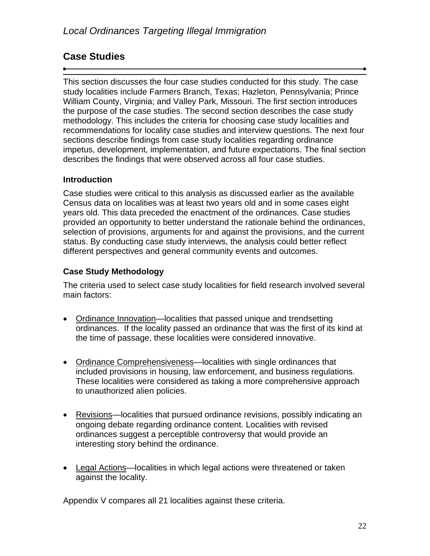## **Case Studies**

This section discusses the four case studies conducted for this study. The case study localities include Farmers Branch, Texas; Hazleton, Pennsylvania; Prince William County, Virginia; and Valley Park, Missouri. The first section introduces the purpose of the case studies. The second section describes the case study methodology. This includes the criteria for choosing case study localities and recommendations for locality case studies and interview questions. The next four sections describe findings from case study localities regarding ordinance impetus, development, implementation, and future expectations. The final section describes the findings that were observed across all four case studies.

## **Introduction**

Case studies were critical to this analysis as discussed earlier as the available Census data on localities was at least two years old and in some cases eight years old. This data preceded the enactment of the ordinances. Case studies provided an opportunity to better understand the rationale behind the ordinances, selection of provisions, arguments for and against the provisions, and the current status. By conducting case study interviews, the analysis could better reflect different perspectives and general community events and outcomes.

## **Case Study Methodology**

The criteria used to select case study localities for field research involved several main factors:

- Ordinance Innovation—localities that passed unique and trendsetting ordinances. If the locality passed an ordinance that was the first of its kind at the time of passage, these localities were considered innovative.
- Ordinance Comprehensiveness—localities with single ordinances that included provisions in housing, law enforcement, and business regulations. These localities were considered as taking a more comprehensive approach to unauthorized alien policies.
- Revisions—localities that pursued ordinance revisions, possibly indicating an ongoing debate regarding ordinance content. Localities with revised ordinances suggest a perceptible controversy that would provide an interesting story behind the ordinance.
- Legal Actions—localities in which legal actions were threatened or taken against the locality.

Appendix V compares all 21 localities against these criteria.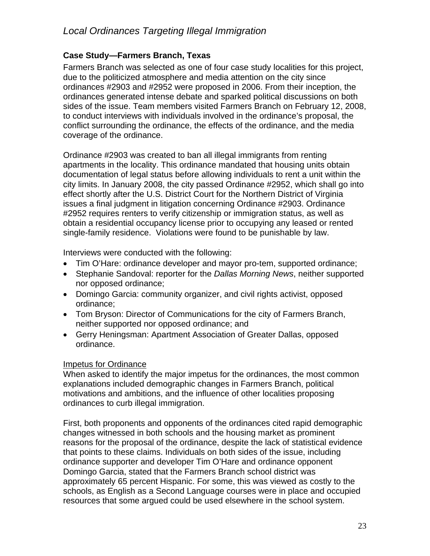## **Case Study—Farmers Branch, Texas**

Farmers Branch was selected as one of four case study localities for this project, due to the politicized atmosphere and media attention on the city since ordinances #2903 and #2952 were proposed in 2006. From their inception, the ordinances generated intense debate and sparked political discussions on both sides of the issue. Team members visited Farmers Branch on February 12, 2008, to conduct interviews with individuals involved in the ordinance's proposal, the conflict surrounding the ordinance, the effects of the ordinance, and the media coverage of the ordinance.

Ordinance #2903 was created to ban all illegal immigrants from renting apartments in the locality. This ordinance mandated that housing units obtain documentation of legal status before allowing individuals to rent a unit within the city limits. In January 2008, the city passed Ordinance #2952, which shall go into effect shortly after the U.S. District Court for the Northern District of Virginia issues a final judgment in litigation concerning Ordinance #2903. Ordinance #2952 requires renters to verify citizenship or immigration status, as well as obtain a residential occupancy license prior to occupying any leased or rented single-family residence. Violations were found to be punishable by law.

Interviews were conducted with the following:

- Tim O'Hare: ordinance developer and mayor pro-tem, supported ordinance;
- Stephanie Sandoval: reporter for the *Dallas Morning News*, neither supported nor opposed ordinance;
- Domingo Garcia: community organizer, and civil rights activist, opposed ordinance;
- Tom Bryson: Director of Communications for the city of Farmers Branch, neither supported nor opposed ordinance; and
- Gerry Heningsman: Apartment Association of Greater Dallas, opposed ordinance.

## Impetus for Ordinance

When asked to identify the major impetus for the ordinances, the most common explanations included demographic changes in Farmers Branch, political motivations and ambitions, and the influence of other localities proposing ordinances to curb illegal immigration.

First, both proponents and opponents of the ordinances cited rapid demographic changes witnessed in both schools and the housing market as prominent reasons for the proposal of the ordinance, despite the lack of statistical evidence that points to these claims. Individuals on both sides of the issue, including ordinance supporter and developer Tim O'Hare and ordinance opponent Domingo Garcia, stated that the Farmers Branch school district was approximately 65 percent Hispanic. For some, this was viewed as costly to the schools, as English as a Second Language courses were in place and occupied resources that some argued could be used elsewhere in the school system.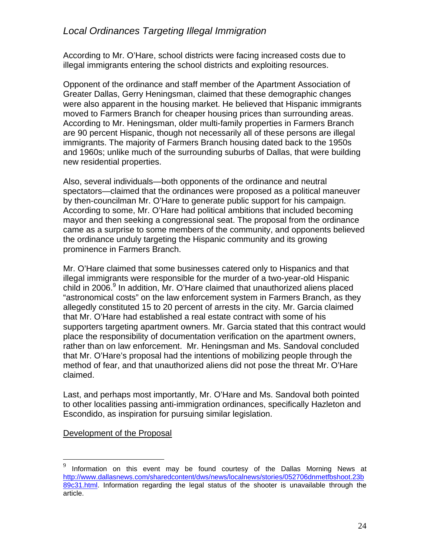According to Mr. O'Hare, school districts were facing increased costs due to illegal immigrants entering the school districts and exploiting resources.

Opponent of the ordinance and staff member of the Apartment Association of Greater Dallas, Gerry Heningsman, claimed that these demographic changes were also apparent in the housing market. He believed that Hispanic immigrants moved to Farmers Branch for cheaper housing prices than surrounding areas. According to Mr. Heningsman, older multi-family properties in Farmers Branch are 90 percent Hispanic, though not necessarily all of these persons are illegal immigrants. The majority of Farmers Branch housing dated back to the 1950s and 1960s; unlike much of the surrounding suburbs of Dallas, that were building new residential properties.

Also, several individuals—both opponents of the ordinance and neutral spectators—claimed that the ordinances were proposed as a political maneuver by then-councilman Mr. O'Hare to generate public support for his campaign. According to some, Mr. O'Hare had political ambitions that included becoming mayor and then seeking a congressional seat. The proposal from the ordinance came as a surprise to some members of the community, and opponents believed the ordinance unduly targeting the Hispanic community and its growing prominence in Farmers Branch.

Mr. O'Hare claimed that some businesses catered only to Hispanics and that illegal immigrants were responsible for the murder of a two-year-old Hispanic child in 2006.<sup>9</sup> In addition, Mr. O'Hare claimed that unauthorized aliens placed "astronomical costs" on the law enforcement system in Farmers Branch, as they allegedly constituted 15 to 20 percent of arrests in the city. Mr. Garcia claimed that Mr. O'Hare had established a real estate contract with some of his supporters targeting apartment owners. Mr. Garcia stated that this contract would place the responsibility of documentation verification on the apartment owners, rather than on law enforcement. Mr. Heningsman and Ms. Sandoval concluded that Mr. O'Hare's proposal had the intentions of mobilizing people through the method of fear, and that unauthorized aliens did not pose the threat Mr. O'Hare claimed.

Last, and perhaps most importantly, Mr. O'Hare and Ms. Sandoval both pointed to other localities passing anti-immigration ordinances, specifically Hazleton and Escondido, as inspiration for pursuing similar legislation.

Development of the Proposal

1

 $9$  Information on this event may be found courtesy of the Dallas Morning News at http://www.dallasnews.com/sharedcontent/dws/news/localnews/stories/052706dnmetfbshoot.23b 89c31.html. Information regarding the legal status of the shooter is unavailable through the article.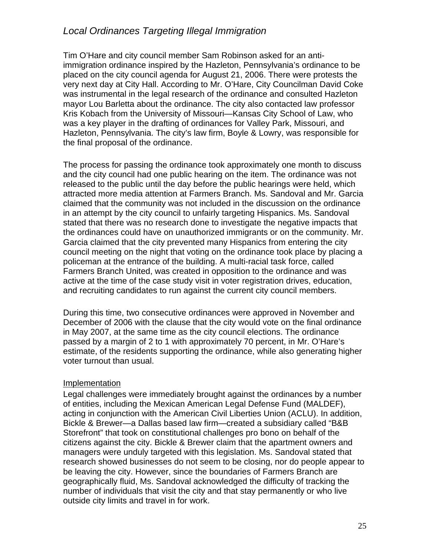Tim O'Hare and city council member Sam Robinson asked for an antiimmigration ordinance inspired by the Hazleton, Pennsylvania's ordinance to be placed on the city council agenda for August 21, 2006. There were protests the very next day at City Hall. According to Mr. O'Hare, City Councilman David Coke was instrumental in the legal research of the ordinance and consulted Hazleton mayor Lou Barletta about the ordinance. The city also contacted law professor Kris Kobach from the University of Missouri—Kansas City School of Law, who was a key player in the drafting of ordinances for Valley Park, Missouri, and Hazleton, Pennsylvania. The city's law firm, Boyle & Lowry, was responsible for the final proposal of the ordinance.

The process for passing the ordinance took approximately one month to discuss and the city council had one public hearing on the item. The ordinance was not released to the public until the day before the public hearings were held, which attracted more media attention at Farmers Branch. Ms. Sandoval and Mr. Garcia claimed that the community was not included in the discussion on the ordinance in an attempt by the city council to unfairly targeting Hispanics. Ms. Sandoval stated that there was no research done to investigate the negative impacts that the ordinances could have on unauthorized immigrants or on the community. Mr. Garcia claimed that the city prevented many Hispanics from entering the city council meeting on the night that voting on the ordinance took place by placing a policeman at the entrance of the building. A multi-racial task force, called Farmers Branch United, was created in opposition to the ordinance and was active at the time of the case study visit in voter registration drives, education, and recruiting candidates to run against the current city council members.

During this time, two consecutive ordinances were approved in November and December of 2006 with the clause that the city would vote on the final ordinance in May 2007, at the same time as the city council elections. The ordinance passed by a margin of 2 to 1 with approximately 70 percent, in Mr. O'Hare's estimate, of the residents supporting the ordinance, while also generating higher voter turnout than usual.

#### Implementation

Legal challenges were immediately brought against the ordinances by a number of entities, including the Mexican American Legal Defense Fund (MALDEF), acting in conjunction with the American Civil Liberties Union (ACLU). In addition, Bickle & Brewer—a Dallas based law firm—created a subsidiary called "B&B Storefront" that took on constitutional challenges pro bono on behalf of the citizens against the city. Bickle & Brewer claim that the apartment owners and managers were unduly targeted with this legislation. Ms. Sandoval stated that research showed businesses do not seem to be closing, nor do people appear to be leaving the city. However, since the boundaries of Farmers Branch are geographically fluid, Ms. Sandoval acknowledged the difficulty of tracking the number of individuals that visit the city and that stay permanently or who live outside city limits and travel in for work.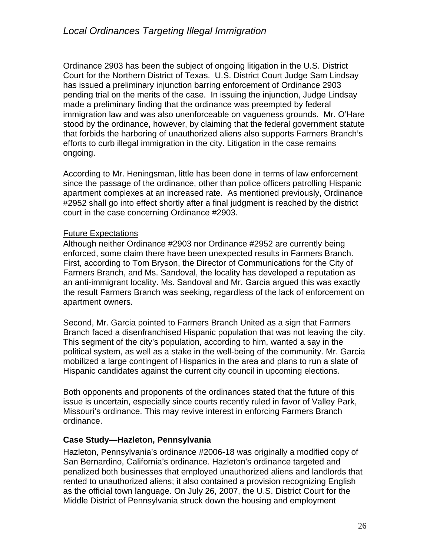Ordinance 2903 has been the subject of ongoing litigation in the U.S. District Court for the Northern District of Texas. U.S. District Court Judge Sam Lindsay has issued a preliminary injunction barring enforcement of Ordinance 2903 pending trial on the merits of the case. In issuing the injunction, Judge Lindsay made a preliminary finding that the ordinance was preempted by federal immigration law and was also unenforceable on vagueness grounds. Mr. O'Hare stood by the ordinance, however, by claiming that the federal government statute that forbids the harboring of unauthorized aliens also supports Farmers Branch's efforts to curb illegal immigration in the city. Litigation in the case remains ongoing.

According to Mr. Heningsman, little has been done in terms of law enforcement since the passage of the ordinance, other than police officers patrolling Hispanic apartment complexes at an increased rate. As mentioned previously, Ordinance #2952 shall go into effect shortly after a final judgment is reached by the district court in the case concerning Ordinance #2903.

## Future Expectations

Although neither Ordinance #2903 nor Ordinance #2952 are currently being enforced, some claim there have been unexpected results in Farmers Branch. First, according to Tom Bryson, the Director of Communications for the City of Farmers Branch, and Ms. Sandoval, the locality has developed a reputation as an anti-immigrant locality. Ms. Sandoval and Mr. Garcia argued this was exactly the result Farmers Branch was seeking, regardless of the lack of enforcement on apartment owners.

Second, Mr. Garcia pointed to Farmers Branch United as a sign that Farmers Branch faced a disenfranchised Hispanic population that was not leaving the city. This segment of the city's population, according to him, wanted a say in the political system, as well as a stake in the well-being of the community. Mr. Garcia mobilized a large contingent of Hispanics in the area and plans to run a slate of Hispanic candidates against the current city council in upcoming elections.

Both opponents and proponents of the ordinances stated that the future of this issue is uncertain, especially since courts recently ruled in favor of Valley Park, Missouri's ordinance. This may revive interest in enforcing Farmers Branch ordinance.

## **Case Study—Hazleton, Pennsylvania**

Hazleton, Pennsylvania's ordinance #2006-18 was originally a modified copy of San Bernardino, California's ordinance. Hazleton's ordinance targeted and penalized both businesses that employed unauthorized aliens and landlords that rented to unauthorized aliens; it also contained a provision recognizing English as the official town language. On July 26, 2007, the U.S. District Court for the Middle District of Pennsylvania struck down the housing and employment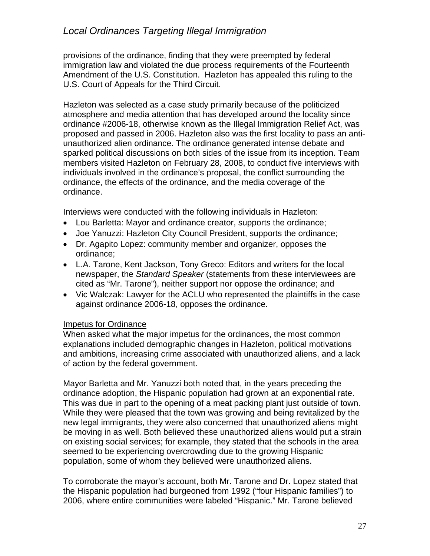provisions of the ordinance, finding that they were preempted by federal immigration law and violated the due process requirements of the Fourteenth Amendment of the U.S. Constitution. Hazleton has appealed this ruling to the U.S. Court of Appeals for the Third Circuit.

Hazleton was selected as a case study primarily because of the politicized atmosphere and media attention that has developed around the locality since ordinance #2006-18, otherwise known as the Illegal Immigration Relief Act, was proposed and passed in 2006. Hazleton also was the first locality to pass an antiunauthorized alien ordinance. The ordinance generated intense debate and sparked political discussions on both sides of the issue from its inception. Team members visited Hazleton on February 28, 2008, to conduct five interviews with individuals involved in the ordinance's proposal, the conflict surrounding the ordinance, the effects of the ordinance, and the media coverage of the ordinance.

Interviews were conducted with the following individuals in Hazleton:

- Lou Barletta: Mayor and ordinance creator, supports the ordinance;
- Joe Yanuzzi: Hazleton City Council President, supports the ordinance;
- Dr. Agapito Lopez: community member and organizer, opposes the ordinance;
- L.A. Tarone, Kent Jackson, Tony Greco: Editors and writers for the local newspaper, the *Standard Speaker* (statements from these interviewees are cited as "Mr. Tarone"), neither support nor oppose the ordinance; and
- Vic Walczak: Lawyer for the ACLU who represented the plaintiffs in the case against ordinance 2006-18, opposes the ordinance.

#### Impetus for Ordinance

When asked what the major impetus for the ordinances, the most common explanations included demographic changes in Hazleton, political motivations and ambitions, increasing crime associated with unauthorized aliens, and a lack of action by the federal government.

Mayor Barletta and Mr. Yanuzzi both noted that, in the years preceding the ordinance adoption, the Hispanic population had grown at an exponential rate. This was due in part to the opening of a meat packing plant just outside of town. While they were pleased that the town was growing and being revitalized by the new legal immigrants, they were also concerned that unauthorized aliens might be moving in as well. Both believed these unauthorized aliens would put a strain on existing social services; for example, they stated that the schools in the area seemed to be experiencing overcrowding due to the growing Hispanic population, some of whom they believed were unauthorized aliens.

To corroborate the mayor's account, both Mr. Tarone and Dr. Lopez stated that the Hispanic population had burgeoned from 1992 ("four Hispanic families") to 2006, where entire communities were labeled "Hispanic." Mr. Tarone believed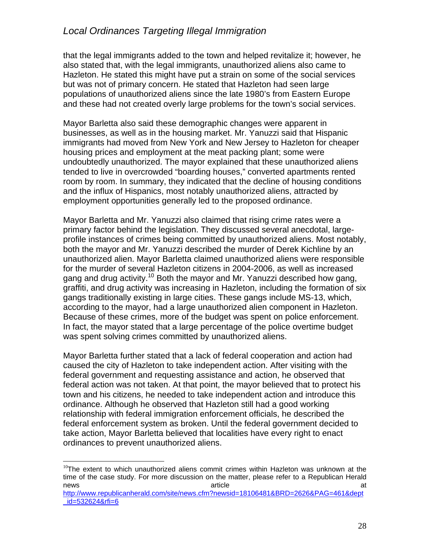that the legal immigrants added to the town and helped revitalize it; however, he also stated that, with the legal immigrants, unauthorized aliens also came to Hazleton. He stated this might have put a strain on some of the social services but was not of primary concern. He stated that Hazleton had seen large populations of unauthorized aliens since the late 1980's from Eastern Europe and these had not created overly large problems for the town's social services.

Mayor Barletta also said these demographic changes were apparent in businesses, as well as in the housing market. Mr. Yanuzzi said that Hispanic immigrants had moved from New York and New Jersey to Hazleton for cheaper housing prices and employment at the meat packing plant; some were undoubtedly unauthorized. The mayor explained that these unauthorized aliens tended to live in overcrowded "boarding houses," converted apartments rented room by room. In summary, they indicated that the decline of housing conditions and the influx of Hispanics, most notably unauthorized aliens, attracted by employment opportunities generally led to the proposed ordinance.

Mayor Barletta and Mr. Yanuzzi also claimed that rising crime rates were a primary factor behind the legislation. They discussed several anecdotal, largeprofile instances of crimes being committed by unauthorized aliens. Most notably, both the mayor and Mr. Yanuzzi described the murder of Derek Kichline by an unauthorized alien. Mayor Barletta claimed unauthorized aliens were responsible for the murder of several Hazleton citizens in 2004-2006, as well as increased gang and drug activity.<sup>10</sup> Both the mayor and Mr. Yanuzzi described how gang, graffiti, and drug activity was increasing in Hazleton, including the formation of six gangs traditionally existing in large cities. These gangs include MS-13, which, according to the mayor, had a large unauthorized alien component in Hazleton. Because of these crimes, more of the budget was spent on police enforcement. In fact, the mayor stated that a large percentage of the police overtime budget was spent solving crimes committed by unauthorized aliens.

Mayor Barletta further stated that a lack of federal cooperation and action had caused the city of Hazleton to take independent action. After visiting with the federal government and requesting assistance and action, he observed that federal action was not taken. At that point, the mayor believed that to protect his town and his citizens, he needed to take independent action and introduce this ordinance. Although he observed that Hazleton still had a good working relationship with federal immigration enforcement officials, he described the federal enforcement system as broken. Until the federal government decided to take action, Mayor Barletta believed that localities have every right to enact ordinances to prevent unauthorized aliens.

 $\overline{a}$ 

<sup>&</sup>lt;sup>10</sup>The extent to which unauthorized aliens commit crimes within Hazleton was unknown at the time of the case study. For more discussion on the matter, please refer to a Republican Herald news and the contract of the contract of the contract of the contract of the contract of the contract of the contract of the contract of the contract of the contract of the contract of the contract of the contract of the c

http://www.republicanherald.com/site/news.cfm?newsid=18106481&BRD=2626&PAG=461&dept \_id=532624&rfi=6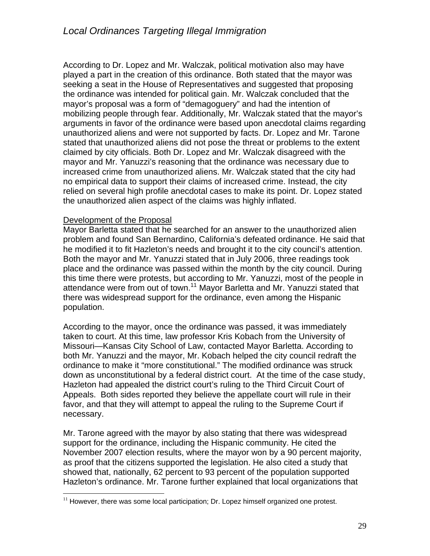According to Dr. Lopez and Mr. Walczak, political motivation also may have played a part in the creation of this ordinance. Both stated that the mayor was seeking a seat in the House of Representatives and suggested that proposing the ordinance was intended for political gain. Mr. Walczak concluded that the mayor's proposal was a form of "demagoguery" and had the intention of mobilizing people through fear. Additionally, Mr. Walczak stated that the mayor's arguments in favor of the ordinance were based upon anecdotal claims regarding unauthorized aliens and were not supported by facts. Dr. Lopez and Mr. Tarone stated that unauthorized aliens did not pose the threat or problems to the extent claimed by city officials. Both Dr. Lopez and Mr. Walczak disagreed with the mayor and Mr. Yanuzzi's reasoning that the ordinance was necessary due to increased crime from unauthorized aliens. Mr. Walczak stated that the city had no empirical data to support their claims of increased crime. Instead, the city relied on several high profile anecdotal cases to make its point. Dr. Lopez stated the unauthorized alien aspect of the claims was highly inflated.

#### Development of the Proposal

<u>.</u>

Mayor Barletta stated that he searched for an answer to the unauthorized alien problem and found San Bernardino, California's defeated ordinance. He said that he modified it to fit Hazleton's needs and brought it to the city council's attention. Both the mayor and Mr. Yanuzzi stated that in July 2006, three readings took place and the ordinance was passed within the month by the city council. During this time there were protests, but according to Mr. Yanuzzi, most of the people in attendance were from out of town.<sup>11</sup> Mayor Barletta and Mr. Yanuzzi stated that there was widespread support for the ordinance, even among the Hispanic population.

According to the mayor, once the ordinance was passed, it was immediately taken to court. At this time, law professor Kris Kobach from the University of Missouri—Kansas City School of Law, contacted Mayor Barletta. According to both Mr. Yanuzzi and the mayor, Mr. Kobach helped the city council redraft the ordinance to make it "more constitutional." The modified ordinance was struck down as unconstitutional by a federal district court. At the time of the case study, Hazleton had appealed the district court's ruling to the Third Circuit Court of Appeals. Both sides reported they believe the appellate court will rule in their favor, and that they will attempt to appeal the ruling to the Supreme Court if necessary.

Mr. Tarone agreed with the mayor by also stating that there was widespread support for the ordinance, including the Hispanic community. He cited the November 2007 election results, where the mayor won by a 90 percent majority, as proof that the citizens supported the legislation. He also cited a study that showed that, nationally, 62 percent to 93 percent of the population supported Hazleton's ordinance. Mr. Tarone further explained that local organizations that

 $11$  However, there was some local participation; Dr. Lopez himself organized one protest.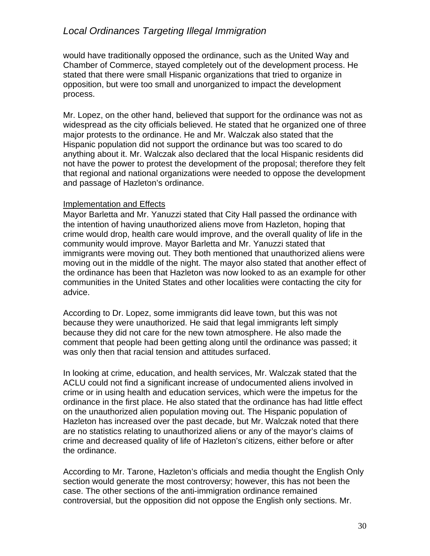would have traditionally opposed the ordinance, such as the United Way and Chamber of Commerce, stayed completely out of the development process. He stated that there were small Hispanic organizations that tried to organize in opposition, but were too small and unorganized to impact the development process.

Mr. Lopez, on the other hand, believed that support for the ordinance was not as widespread as the city officials believed. He stated that he organized one of three major protests to the ordinance. He and Mr. Walczak also stated that the Hispanic population did not support the ordinance but was too scared to do anything about it. Mr. Walczak also declared that the local Hispanic residents did not have the power to protest the development of the proposal; therefore they felt that regional and national organizations were needed to oppose the development and passage of Hazleton's ordinance.

#### Implementation and Effects

Mayor Barletta and Mr. Yanuzzi stated that City Hall passed the ordinance with the intention of having unauthorized aliens move from Hazleton, hoping that crime would drop, health care would improve, and the overall quality of life in the community would improve. Mayor Barletta and Mr. Yanuzzi stated that immigrants were moving out. They both mentioned that unauthorized aliens were moving out in the middle of the night. The mayor also stated that another effect of the ordinance has been that Hazleton was now looked to as an example for other communities in the United States and other localities were contacting the city for advice.

According to Dr. Lopez, some immigrants did leave town, but this was not because they were unauthorized. He said that legal immigrants left simply because they did not care for the new town atmosphere. He also made the comment that people had been getting along until the ordinance was passed; it was only then that racial tension and attitudes surfaced.

In looking at crime, education, and health services, Mr. Walczak stated that the ACLU could not find a significant increase of undocumented aliens involved in crime or in using health and education services, which were the impetus for the ordinance in the first place. He also stated that the ordinance has had little effect on the unauthorized alien population moving out. The Hispanic population of Hazleton has increased over the past decade, but Mr. Walczak noted that there are no statistics relating to unauthorized aliens or any of the mayor's claims of crime and decreased quality of life of Hazleton's citizens, either before or after the ordinance.

According to Mr. Tarone, Hazleton's officials and media thought the English Only section would generate the most controversy; however, this has not been the case. The other sections of the anti-immigration ordinance remained controversial, but the opposition did not oppose the English only sections. Mr.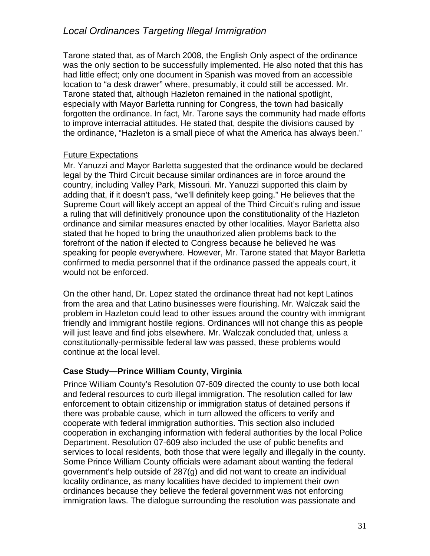Tarone stated that, as of March 2008, the English Only aspect of the ordinance was the only section to be successfully implemented. He also noted that this has had little effect; only one document in Spanish was moved from an accessible location to "a desk drawer" where, presumably, it could still be accessed. Mr. Tarone stated that, although Hazleton remained in the national spotlight, especially with Mayor Barletta running for Congress, the town had basically forgotten the ordinance. In fact, Mr. Tarone says the community had made efforts to improve interracial attitudes. He stated that, despite the divisions caused by the ordinance, "Hazleton is a small piece of what the America has always been."

#### Future Expectations

Mr. Yanuzzi and Mayor Barletta suggested that the ordinance would be declared legal by the Third Circuit because similar ordinances are in force around the country, including Valley Park, Missouri. Mr. Yanuzzi supported this claim by adding that, if it doesn't pass, "we'll definitely keep going." He believes that the Supreme Court will likely accept an appeal of the Third Circuit's ruling and issue a ruling that will definitively pronounce upon the constitutionality of the Hazleton ordinance and similar measures enacted by other localities. Mayor Barletta also stated that he hoped to bring the unauthorized alien problems back to the forefront of the nation if elected to Congress because he believed he was speaking for people everywhere. However, Mr. Tarone stated that Mayor Barletta confirmed to media personnel that if the ordinance passed the appeals court, it would not be enforced.

On the other hand, Dr. Lopez stated the ordinance threat had not kept Latinos from the area and that Latino businesses were flourishing. Mr. Walczak said the problem in Hazleton could lead to other issues around the country with immigrant friendly and immigrant hostile regions. Ordinances will not change this as people will just leave and find jobs elsewhere. Mr. Walczak concluded that, unless a constitutionally-permissible federal law was passed, these problems would continue at the local level.

## **Case Study—Prince William County, Virginia**

Prince William County's Resolution 07-609 directed the county to use both local and federal resources to curb illegal immigration. The resolution called for law enforcement to obtain citizenship or immigration status of detained persons if there was probable cause, which in turn allowed the officers to verify and cooperate with federal immigration authorities. This section also included cooperation in exchanging information with federal authorities by the local Police Department. Resolution 07-609 also included the use of public benefits and services to local residents, both those that were legally and illegally in the county. Some Prince William County officials were adamant about wanting the federal government's help outside of 287(g) and did not want to create an individual locality ordinance, as many localities have decided to implement their own ordinances because they believe the federal government was not enforcing immigration laws. The dialogue surrounding the resolution was passionate and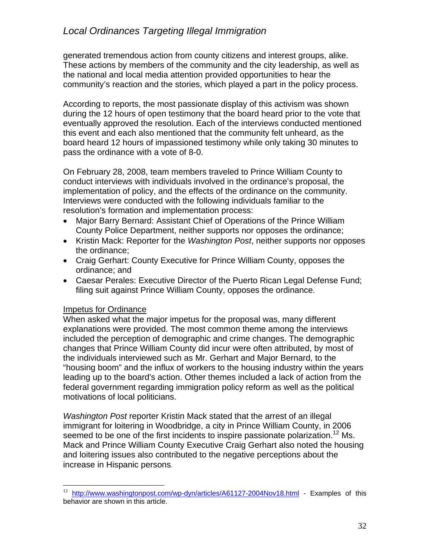generated tremendous action from county citizens and interest groups, alike. These actions by members of the community and the city leadership, as well as the national and local media attention provided opportunities to hear the community's reaction and the stories, which played a part in the policy process.

According to reports, the most passionate display of this activism was shown during the 12 hours of open testimony that the board heard prior to the vote that eventually approved the resolution. Each of the interviews conducted mentioned this event and each also mentioned that the community felt unheard, as the board heard 12 hours of impassioned testimony while only taking 30 minutes to pass the ordinance with a vote of 8-0.

On February 28, 2008, team members traveled to Prince William County to conduct interviews with individuals involved in the ordinance's proposal, the implementation of policy, and the effects of the ordinance on the community. Interviews were conducted with the following individuals familiar to the resolution's formation and implementation process:

- Major Barry Bernard: Assistant Chief of Operations of the Prince William County Police Department, neither supports nor opposes the ordinance;
- Kristin Mack: Reporter for the *Washington Post*, neither supports nor opposes the ordinance;
- Craig Gerhart: County Executive for Prince William County, opposes the ordinance; and
- Caesar Perales: Executive Director of the Puerto Rican Legal Defense Fund; filing suit against Prince William County, opposes the ordinance.

## Impetus for Ordinance

When asked what the major impetus for the proposal was, many different explanations were provided. The most common theme among the interviews included the perception of demographic and crime changes. The demographic changes that Prince William County did incur were often attributed, by most of the individuals interviewed such as Mr. Gerhart and Major Bernard, to the "housing boom" and the influx of workers to the housing industry within the years leading up to the board's action. Other themes included a lack of action from the federal government regarding immigration policy reform as well as the political motivations of local politicians.

*Washington Post* reporter Kristin Mack stated that the arrest of an illegal immigrant for loitering in Woodbridge, a city in Prince William County, in 2006 seemed to be one of the first incidents to inspire passionate polarization.<sup>12</sup> Ms. Mack and Prince William County Executive Craig Gerhart also noted the housing and loitering issues also contributed to the negative perceptions about the increase in Hispanic persons.

 $12\,$ http://www.washingtonpost.com/wp-dyn/articles/A61127-2004Nov18.html - Examples of this behavior are shown in this article.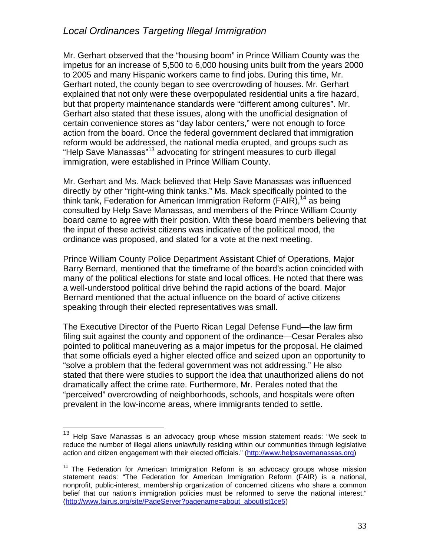Mr. Gerhart observed that the "housing boom" in Prince William County was the impetus for an increase of 5,500 to 6,000 housing units built from the years 2000 to 2005 and many Hispanic workers came to find jobs. During this time, Mr. Gerhart noted, the county began to see overcrowding of houses. Mr. Gerhart explained that not only were these overpopulated residential units a fire hazard, but that property maintenance standards were "different among cultures". Mr. Gerhart also stated that these issues, along with the unofficial designation of certain convenience stores as "day labor centers," were not enough to force action from the board. Once the federal government declared that immigration reform would be addressed, the national media erupted, and groups such as "Help Save Manassas"13 advocating for stringent measures to curb illegal immigration, were established in Prince William County.

Mr. Gerhart and Ms. Mack believed that Help Save Manassas was influenced directly by other "right-wing think tanks." Ms. Mack specifically pointed to the think tank, Federation for American Immigration Reform (FAIR),  $14$  as being consulted by Help Save Manassas, and members of the Prince William County board came to agree with their position. With these board members believing that the input of these activist citizens was indicative of the political mood, the ordinance was proposed, and slated for a vote at the next meeting.

Prince William County Police Department Assistant Chief of Operations, Major Barry Bernard, mentioned that the timeframe of the board's action coincided with many of the political elections for state and local offices. He noted that there was a well-understood political drive behind the rapid actions of the board. Major Bernard mentioned that the actual influence on the board of active citizens speaking through their elected representatives was small.

The Executive Director of the Puerto Rican Legal Defense Fund—the law firm filing suit against the county and opponent of the ordinance—Cesar Perales also pointed to political maneuvering as a major impetus for the proposal. He claimed that some officials eyed a higher elected office and seized upon an opportunity to "solve a problem that the federal government was not addressing." He also stated that there were studies to support the idea that unauthorized aliens do not dramatically affect the crime rate. Furthermore, Mr. Perales noted that the "perceived" overcrowding of neighborhoods, schools, and hospitals were often prevalent in the low-income areas, where immigrants tended to settle.

 $\overline{a}$ 

 $13$  Help Save Manassas is an advocacy group whose mission statement reads: "We seek to reduce the number of illegal aliens unlawfully residing within our communities through legislative action and citizen engagement with their elected officials." (http://www.helpsavemanassas.org)

 $14$  The Federation for American Immigration Reform is an advocacy groups whose mission statement reads: "The Federation for American Immigration Reform (FAIR) is a national, nonprofit, public-interest, membership organization of concerned citizens who share a common belief that our nation's immigration policies must be reformed to serve the national interest." (http://www.fairus.org/site/PageServer?pagename=about\_aboutlist1ce5)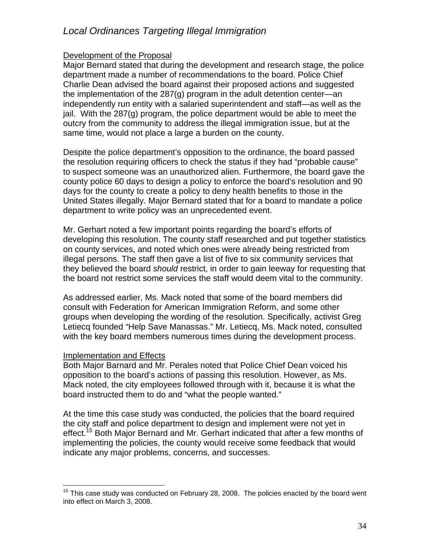#### Development of the Proposal

Major Bernard stated that during the development and research stage, the police department made a number of recommendations to the board. Police Chief Charlie Dean advised the board against their proposed actions and suggested the implementation of the 287(g) program in the adult detention center—an independently run entity with a salaried superintendent and staff—as well as the jail. With the 287(g) program, the police department would be able to meet the outcry from the community to address the illegal immigration issue, but at the same time, would not place a large a burden on the county.

Despite the police department's opposition to the ordinance, the board passed the resolution requiring officers to check the status if they had "probable cause" to suspect someone was an unauthorized alien. Furthermore, the board gave the county police 60 days to design a policy to enforce the board's resolution and 90 days for the county to create a policy to deny health benefits to those in the United States illegally. Major Bernard stated that for a board to mandate a police department to write policy was an unprecedented event.

Mr. Gerhart noted a few important points regarding the board's efforts of developing this resolution. The county staff researched and put together statistics on county services, and noted which ones were already being restricted from illegal persons. The staff then gave a list of five to six community services that they believed the board *should* restrict, in order to gain leeway for requesting that the board not restrict some services the staff would deem vital to the community.

As addressed earlier, Ms. Mack noted that some of the board members did consult with Federation for American Immigration Reform, and some other groups when developing the wording of the resolution. Specifically, activist Greg Letiecq founded "Help Save Manassas." Mr. Letiecq, Ms. Mack noted, consulted with the key board members numerous times during the development process.

#### Implementation and Effects

Both Major Barnard and Mr. Perales noted that Police Chief Dean voiced his opposition to the board's actions of passing this resolution. However, as Ms. Mack noted, the city employees followed through with it, because it is what the board instructed them to do and "what the people wanted."

At the time this case study was conducted, the policies that the board required the city staff and police department to design and implement were not yet in effect.<sup>15</sup> Both Major Bernard and Mr. Gerhart indicated that after a few months of implementing the policies, the county would receive some feedback that would indicate any major problems, concerns, and successes.

 $\overline{a}$  $15$  This case study was conducted on February 28, 2008. The policies enacted by the board went into effect on March 3, 2008.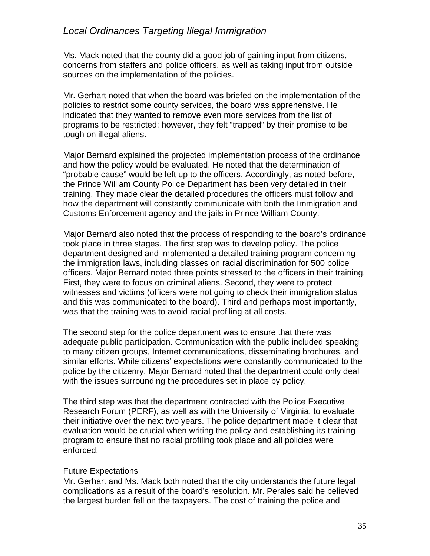Ms. Mack noted that the county did a good job of gaining input from citizens, concerns from staffers and police officers, as well as taking input from outside sources on the implementation of the policies.

Mr. Gerhart noted that when the board was briefed on the implementation of the policies to restrict some county services, the board was apprehensive. He indicated that they wanted to remove even more services from the list of programs to be restricted; however, they felt "trapped" by their promise to be tough on illegal aliens.

Major Bernard explained the projected implementation process of the ordinance and how the policy would be evaluated. He noted that the determination of "probable cause" would be left up to the officers. Accordingly, as noted before, the Prince William County Police Department has been very detailed in their training. They made clear the detailed procedures the officers must follow and how the department will constantly communicate with both the Immigration and Customs Enforcement agency and the jails in Prince William County.

Major Bernard also noted that the process of responding to the board's ordinance took place in three stages. The first step was to develop policy. The police department designed and implemented a detailed training program concerning the immigration laws, including classes on racial discrimination for 500 police officers. Major Bernard noted three points stressed to the officers in their training. First, they were to focus on criminal aliens. Second, they were to protect witnesses and victims (officers were not going to check their immigration status and this was communicated to the board). Third and perhaps most importantly, was that the training was to avoid racial profiling at all costs.

The second step for the police department was to ensure that there was adequate public participation. Communication with the public included speaking to many citizen groups, Internet communications, disseminating brochures, and similar efforts. While citizens' expectations were constantly communicated to the police by the citizenry, Major Bernard noted that the department could only deal with the issues surrounding the procedures set in place by policy.

The third step was that the department contracted with the Police Executive Research Forum (PERF), as well as with the University of Virginia, to evaluate their initiative over the next two years. The police department made it clear that evaluation would be crucial when writing the policy and establishing its training program to ensure that no racial profiling took place and all policies were enforced.

#### Future Expectations

Mr. Gerhart and Ms. Mack both noted that the city understands the future legal complications as a result of the board's resolution. Mr. Perales said he believed the largest burden fell on the taxpayers. The cost of training the police and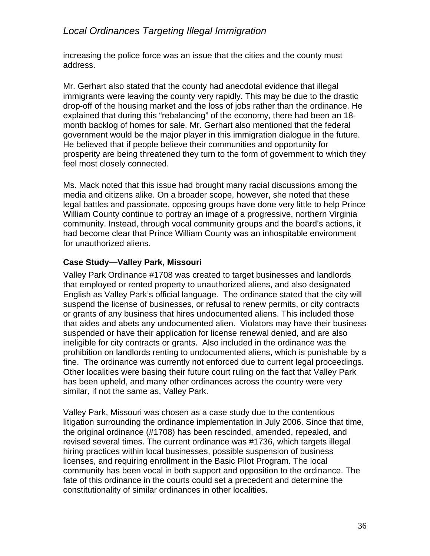increasing the police force was an issue that the cities and the county must address.

Mr. Gerhart also stated that the county had anecdotal evidence that illegal immigrants were leaving the county very rapidly. This may be due to the drastic drop-off of the housing market and the loss of jobs rather than the ordinance. He explained that during this "rebalancing" of the economy, there had been an 18 month backlog of homes for sale. Mr. Gerhart also mentioned that the federal government would be the major player in this immigration dialogue in the future. He believed that if people believe their communities and opportunity for prosperity are being threatened they turn to the form of government to which they feel most closely connected.

Ms. Mack noted that this issue had brought many racial discussions among the media and citizens alike. On a broader scope, however, she noted that these legal battles and passionate, opposing groups have done very little to help Prince William County continue to portray an image of a progressive, northern Virginia community. Instead, through vocal community groups and the board's actions, it had become clear that Prince William County was an inhospitable environment for unauthorized aliens.

## **Case Study—Valley Park, Missouri**

Valley Park Ordinance #1708 was created to target businesses and landlords that employed or rented property to unauthorized aliens, and also designated English as Valley Park's official language. The ordinance stated that the city will suspend the license of businesses, or refusal to renew permits, or city contracts or grants of any business that hires undocumented aliens. This included those that aides and abets any undocumented alien. Violators may have their business suspended or have their application for license renewal denied, and are also ineligible for city contracts or grants. Also included in the ordinance was the prohibition on landlords renting to undocumented aliens, which is punishable by a fine. The ordinance was currently not enforced due to current legal proceedings. Other localities were basing their future court ruling on the fact that Valley Park has been upheld, and many other ordinances across the country were very similar, if not the same as, Valley Park.

Valley Park, Missouri was chosen as a case study due to the contentious litigation surrounding the ordinance implementation in July 2006. Since that time, the original ordinance (#1708) has been rescinded, amended, repealed, and revised several times. The current ordinance was #1736, which targets illegal hiring practices within local businesses, possible suspension of business licenses, and requiring enrollment in the Basic Pilot Program. The local community has been vocal in both support and opposition to the ordinance. The fate of this ordinance in the courts could set a precedent and determine the constitutionality of similar ordinances in other localities.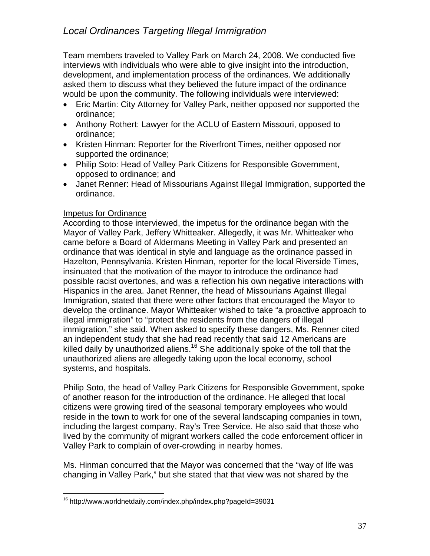Team members traveled to Valley Park on March 24, 2008. We conducted five interviews with individuals who were able to give insight into the introduction, development, and implementation process of the ordinances. We additionally asked them to discuss what they believed the future impact of the ordinance would be upon the community. The following individuals were interviewed:

- Eric Martin: City Attorney for Valley Park, neither opposed nor supported the ordinance;
- Anthony Rothert: Lawyer for the ACLU of Eastern Missouri, opposed to ordinance;
- Kristen Hinman: Reporter for the Riverfront Times, neither opposed nor supported the ordinance;
- Philip Soto: Head of Valley Park Citizens for Responsible Government, opposed to ordinance; and
- Janet Renner: Head of Missourians Against Illegal Immigration, supported the ordinance.

## Impetus for Ordinance

According to those interviewed, the impetus for the ordinance began with the Mayor of Valley Park, Jeffery Whitteaker. Allegedly, it was Mr. Whitteaker who came before a Board of Aldermans Meeting in Valley Park and presented an ordinance that was identical in style and language as the ordinance passed in Hazelton, Pennsylvania. Kristen Hinman, reporter for the local Riverside Times, insinuated that the motivation of the mayor to introduce the ordinance had possible racist overtones, and was a reflection his own negative interactions with Hispanics in the area. Janet Renner, the head of Missourians Against Illegal Immigration, stated that there were other factors that encouraged the Mayor to develop the ordinance. Mayor Whitteaker wished to take "a proactive approach to illegal immigration" to "protect the residents from the dangers of illegal immigration," she said. When asked to specify these dangers, Ms. Renner cited an independent study that she had read recently that said 12 Americans are killed daily by unauthorized aliens.<sup>16</sup> She additionally spoke of the toll that the unauthorized aliens are allegedly taking upon the local economy, school systems, and hospitals.

Philip Soto, the head of Valley Park Citizens for Responsible Government, spoke of another reason for the introduction of the ordinance. He alleged that local citizens were growing tired of the seasonal temporary employees who would reside in the town to work for one of the several landscaping companies in town, including the largest company, Ray's Tree Service. He also said that those who lived by the community of migrant workers called the code enforcement officer in Valley Park to complain of over-crowding in nearby homes.

Ms. Hinman concurred that the Mayor was concerned that the "way of life was changing in Valley Park," but she stated that that view was not shared by the

 $\overline{a}$ <sup>16</sup> http://www.worldnetdaily.com/index.php/index.php?pageId=39031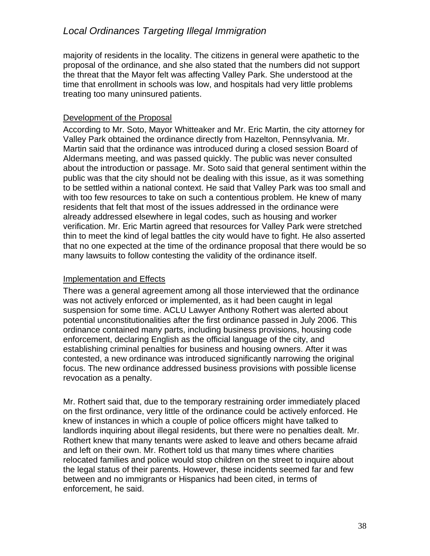majority of residents in the locality. The citizens in general were apathetic to the proposal of the ordinance, and she also stated that the numbers did not support the threat that the Mayor felt was affecting Valley Park. She understood at the time that enrollment in schools was low, and hospitals had very little problems treating too many uninsured patients.

## Development of the Proposal

According to Mr. Soto, Mayor Whitteaker and Mr. Eric Martin, the city attorney for Valley Park obtained the ordinance directly from Hazelton, Pennsylvania. Mr. Martin said that the ordinance was introduced during a closed session Board of Aldermans meeting, and was passed quickly. The public was never consulted about the introduction or passage. Mr. Soto said that general sentiment within the public was that the city should not be dealing with this issue, as it was something to be settled within a national context. He said that Valley Park was too small and with too few resources to take on such a contentious problem. He knew of many residents that felt that most of the issues addressed in the ordinance were already addressed elsewhere in legal codes, such as housing and worker verification. Mr. Eric Martin agreed that resources for Valley Park were stretched thin to meet the kind of legal battles the city would have to fight. He also asserted that no one expected at the time of the ordinance proposal that there would be so many lawsuits to follow contesting the validity of the ordinance itself.

#### Implementation and Effects

There was a general agreement among all those interviewed that the ordinance was not actively enforced or implemented, as it had been caught in legal suspension for some time. ACLU Lawyer Anthony Rothert was alerted about potential unconstitutionalities after the first ordinance passed in July 2006. This ordinance contained many parts, including business provisions, housing code enforcement, declaring English as the official language of the city, and establishing criminal penalties for business and housing owners. After it was contested, a new ordinance was introduced significantly narrowing the original focus. The new ordinance addressed business provisions with possible license revocation as a penalty.

Mr. Rothert said that, due to the temporary restraining order immediately placed on the first ordinance, very little of the ordinance could be actively enforced. He knew of instances in which a couple of police officers might have talked to landlords inquiring about illegal residents, but there were no penalties dealt. Mr. Rothert knew that many tenants were asked to leave and others became afraid and left on their own. Mr. Rothert told us that many times where charities relocated families and police would stop children on the street to inquire about the legal status of their parents. However, these incidents seemed far and few between and no immigrants or Hispanics had been cited, in terms of enforcement, he said.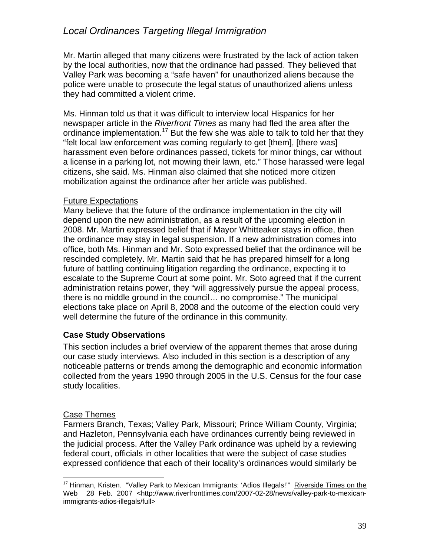Mr. Martin alleged that many citizens were frustrated by the lack of action taken by the local authorities, now that the ordinance had passed. They believed that Valley Park was becoming a "safe haven" for unauthorized aliens because the police were unable to prosecute the legal status of unauthorized aliens unless they had committed a violent crime.

Ms. Hinman told us that it was difficult to interview local Hispanics for her newspaper article in the *Riverfront Times* as many had fled the area after the ordinance implementation.<sup>17</sup> But the few she was able to talk to told her that they "felt local law enforcement was coming regularly to get [them], [there was] harassment even before ordinances passed, tickets for minor things, car without a license in a parking lot, not mowing their lawn, etc." Those harassed were legal citizens, she said. Ms. Hinman also claimed that she noticed more citizen mobilization against the ordinance after her article was published.

#### Future Expectations

Many believe that the future of the ordinance implementation in the city will depend upon the new administration, as a result of the upcoming election in 2008. Mr. Martin expressed belief that if Mayor Whitteaker stays in office, then the ordinance may stay in legal suspension. If a new administration comes into office, both Ms. Hinman and Mr. Soto expressed belief that the ordinance will be rescinded completely. Mr. Martin said that he has prepared himself for a long future of battling continuing litigation regarding the ordinance, expecting it to escalate to the Supreme Court at some point. Mr. Soto agreed that if the current administration retains power, they "will aggressively pursue the appeal process, there is no middle ground in the council… no compromise." The municipal elections take place on April 8, 2008 and the outcome of the election could very well determine the future of the ordinance in this community.

#### **Case Study Observations**

This section includes a brief overview of the apparent themes that arose during our case study interviews. Also included in this section is a description of any noticeable patterns or trends among the demographic and economic information collected from the years 1990 through 2005 in the U.S. Census for the four case study localities.

#### Case Themes

Farmers Branch, Texas; Valley Park, Missouri; Prince William County, Virginia; and Hazleton, Pennsylvania each have ordinances currently being reviewed in the judicial process. After the Valley Park ordinance was upheld by a reviewing federal court, officials in other localities that were the subject of case studies expressed confidence that each of their locality's ordinances would similarly be

 $\overline{a}$ <sup>17</sup> Hinman, Kristen. "Valley Park to Mexican Immigrants: 'Adios Illegals!" Riverside Times on the Web 28 Feb. 2007 <http://www.riverfronttimes.com/2007-02-28/news/valley-park-to-mexicanimmigrants-adios-illegals/full>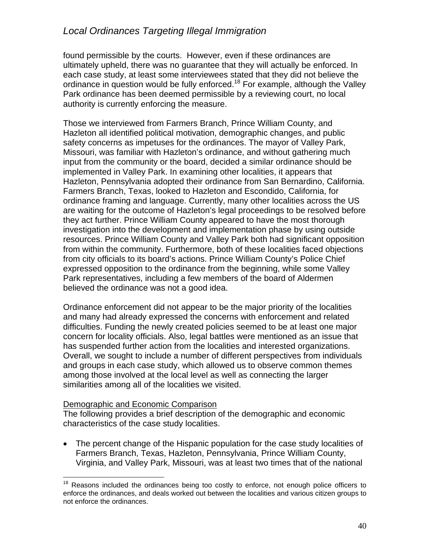found permissible by the courts. However, even if these ordinances are ultimately upheld, there was no guarantee that they will actually be enforced. In each case study, at least some interviewees stated that they did not believe the ordinance in question would be fully enforced.<sup>18</sup> For example, although the Valley Park ordinance has been deemed permissible by a reviewing court, no local authority is currently enforcing the measure.

Those we interviewed from Farmers Branch, Prince William County, and Hazleton all identified political motivation, demographic changes, and public safety concerns as impetuses for the ordinances. The mayor of Valley Park, Missouri, was familiar with Hazleton's ordinance, and without gathering much input from the community or the board, decided a similar ordinance should be implemented in Valley Park. In examining other localities, it appears that Hazleton, Pennsylvania adopted their ordinance from San Bernardino, California. Farmers Branch, Texas, looked to Hazleton and Escondido, California, for ordinance framing and language. Currently, many other localities across the US are waiting for the outcome of Hazleton's legal proceedings to be resolved before they act further. Prince William County appeared to have the most thorough investigation into the development and implementation phase by using outside resources. Prince William County and Valley Park both had significant opposition from within the community. Furthermore, both of these localities faced objections from city officials to its board's actions. Prince William County's Police Chief expressed opposition to the ordinance from the beginning, while some Valley Park representatives, including a few members of the board of Aldermen believed the ordinance was not a good idea.

Ordinance enforcement did not appear to be the major priority of the localities and many had already expressed the concerns with enforcement and related difficulties. Funding the newly created policies seemed to be at least one major concern for locality officials. Also, legal battles were mentioned as an issue that has suspended further action from the localities and interested organizations. Overall, we sought to include a number of different perspectives from individuals and groups in each case study, which allowed us to observe common themes among those involved at the local level as well as connecting the larger similarities among all of the localities we visited.

#### Demographic and Economic Comparison

The following provides a brief description of the demographic and economic characteristics of the case study localities.

 The percent change of the Hispanic population for the case study localities of Farmers Branch, Texas, Hazleton, Pennsylvania, Prince William County, Virginia, and Valley Park, Missouri, was at least two times that of the national

<sup>1</sup>  $18$  Reasons included the ordinances being too costly to enforce, not enough police officers to enforce the ordinances, and deals worked out between the localities and various citizen groups to not enforce the ordinances.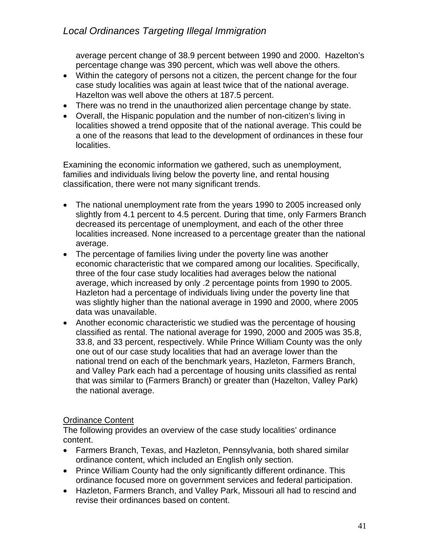average percent change of 38.9 percent between 1990 and 2000. Hazelton's percentage change was 390 percent, which was well above the others.

- Within the category of persons not a citizen, the percent change for the four case study localities was again at least twice that of the national average. Hazelton was well above the others at 187.5 percent.
- There was no trend in the unauthorized alien percentage change by state.
- Overall, the Hispanic population and the number of non-citizen's living in localities showed a trend opposite that of the national average. This could be a one of the reasons that lead to the development of ordinances in these four localities.

Examining the economic information we gathered, such as unemployment, families and individuals living below the poverty line, and rental housing classification, there were not many significant trends.

- The national unemployment rate from the years 1990 to 2005 increased only slightly from 4.1 percent to 4.5 percent. During that time, only Farmers Branch decreased its percentage of unemployment, and each of the other three localities increased. None increased to a percentage greater than the national average.
- The percentage of families living under the poverty line was another economic characteristic that we compared among our localities. Specifically, three of the four case study localities had averages below the national average, which increased by only .2 percentage points from 1990 to 2005. Hazleton had a percentage of individuals living under the poverty line that was slightly higher than the national average in 1990 and 2000, where 2005 data was unavailable.
- Another economic characteristic we studied was the percentage of housing classified as rental. The national average for 1990, 2000 and 2005 was 35.8, 33.8, and 33 percent, respectively. While Prince William County was the only one out of our case study localities that had an average lower than the national trend on each of the benchmark years, Hazleton, Farmers Branch, and Valley Park each had a percentage of housing units classified as rental that was similar to (Farmers Branch) or greater than (Hazelton, Valley Park) the national average.

## Ordinance Content

The following provides an overview of the case study localities' ordinance content.

- Farmers Branch, Texas, and Hazleton, Pennsylvania, both shared similar ordinance content, which included an English only section.
- Prince William County had the only significantly different ordinance. This ordinance focused more on government services and federal participation.
- Hazleton, Farmers Branch, and Valley Park, Missouri all had to rescind and revise their ordinances based on content.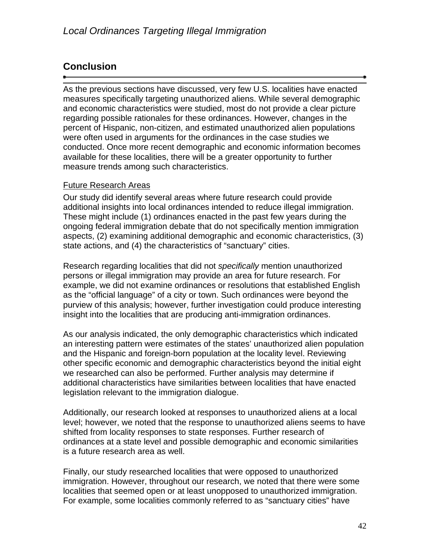## **Conclusion**

As the previous sections have discussed, very few U.S. localities have enacted measures specifically targeting unauthorized aliens. While several demographic and economic characteristics were studied, most do not provide a clear picture regarding possible rationales for these ordinances. However, changes in the percent of Hispanic, non-citizen, and estimated unauthorized alien populations were often used in arguments for the ordinances in the case studies we conducted. Once more recent demographic and economic information becomes available for these localities, there will be a greater opportunity to further measure trends among such characteristics.

## Future Research Areas

Our study did identify several areas where future research could provide additional insights into local ordinances intended to reduce illegal immigration. These might include (1) ordinances enacted in the past few years during the ongoing federal immigration debate that do not specifically mention immigration aspects, (2) examining additional demographic and economic characteristics, (3) state actions, and (4) the characteristics of "sanctuary" cities.

Research regarding localities that did not *specifically* mention unauthorized persons or illegal immigration may provide an area for future research. For example, we did not examine ordinances or resolutions that established English as the "official language" of a city or town. Such ordinances were beyond the purview of this analysis; however, further investigation could produce interesting insight into the localities that are producing anti-immigration ordinances.

As our analysis indicated, the only demographic characteristics which indicated an interesting pattern were estimates of the states' unauthorized alien population and the Hispanic and foreign-born population at the locality level. Reviewing other specific economic and demographic characteristics beyond the initial eight we researched can also be performed. Further analysis may determine if additional characteristics have similarities between localities that have enacted legislation relevant to the immigration dialogue.

Additionally, our research looked at responses to unauthorized aliens at a local level; however, we noted that the response to unauthorized aliens seems to have shifted from locality responses to state responses. Further research of ordinances at a state level and possible demographic and economic similarities is a future research area as well.

Finally, our study researched localities that were opposed to unauthorized immigration. However, throughout our research, we noted that there were some localities that seemed open or at least unopposed to unauthorized immigration. For example, some localities commonly referred to as "sanctuary cities" have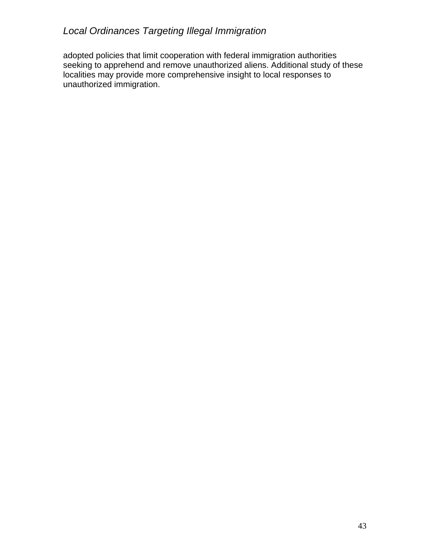adopted policies that limit cooperation with federal immigration authorities seeking to apprehend and remove unauthorized aliens. Additional study of these localities may provide more comprehensive insight to local responses to unauthorized immigration.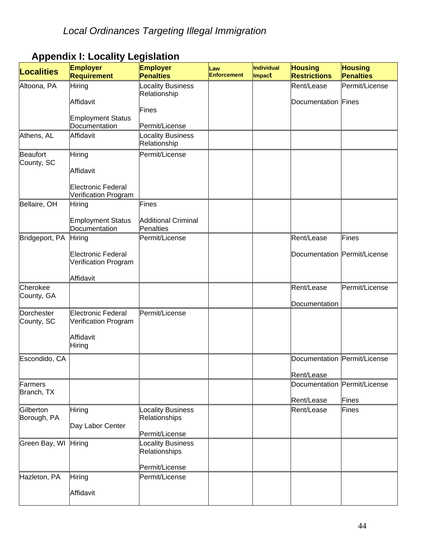| <b>Localities</b>        | <b>Employer</b><br><b>Requirement</b>             | <b>Employer</b><br><b>Penalties</b>     | Law<br><b>Enforcement</b> | Individual<br>Impact | <b>Housing</b><br><b>Restrictions</b> | <b>Housing</b><br><b>Penalties</b> |
|--------------------------|---------------------------------------------------|-----------------------------------------|---------------------------|----------------------|---------------------------------------|------------------------------------|
| Altoona, PA              | Hiring                                            | <b>Locality Business</b>                |                           |                      | Rent/Lease                            | Permit/License                     |
|                          |                                                   | Relationship                            |                           |                      |                                       |                                    |
|                          | Affidavit                                         |                                         |                           |                      | Documentation Fines                   |                                    |
|                          |                                                   | <b>Fines</b>                            |                           |                      |                                       |                                    |
|                          | <b>Employment Status</b><br>Documentation         | Permit/License                          |                           |                      |                                       |                                    |
| Athens, AL               | Affidavit                                         | <b>Locality Business</b>                |                           |                      |                                       |                                    |
|                          |                                                   | Relationship                            |                           |                      |                                       |                                    |
| <b>Beaufort</b>          | Hiring                                            | Permit/License                          |                           |                      |                                       |                                    |
| County, SC               | Affidavit                                         |                                         |                           |                      |                                       |                                    |
|                          | <b>Electronic Federal</b><br>Verification Program |                                         |                           |                      |                                       |                                    |
| Bellaire, OH             | Hiring                                            | Fines                                   |                           |                      |                                       |                                    |
|                          | <b>Employment Status</b><br>Documentation         | <b>Additional Criminal</b><br>Penalties |                           |                      |                                       |                                    |
| Bridgeport, PA           | Hiring                                            | Permit/License                          |                           |                      | Rent/Lease                            | Fines                              |
|                          |                                                   |                                         |                           |                      |                                       |                                    |
|                          | <b>Electronic Federal</b><br>Verification Program |                                         |                           |                      | Documentation Permit/License          |                                    |
|                          | Affidavit                                         |                                         |                           |                      |                                       |                                    |
| Cherokee                 |                                                   |                                         |                           |                      | Rent/Lease                            | Permit/License                     |
| County, GA               |                                                   |                                         |                           |                      |                                       |                                    |
|                          |                                                   |                                         |                           |                      | Documentation                         |                                    |
| Dorchester<br>County, SC | <b>Electronic Federal</b><br>Verification Program | Permit/License                          |                           |                      |                                       |                                    |
|                          | Affidavit<br>Hiring                               |                                         |                           |                      |                                       |                                    |
| Escondido, CA            |                                                   |                                         |                           |                      | Documentation Permit/License          |                                    |
|                          |                                                   |                                         |                           |                      | Rent/Lease                            |                                    |
| Farmers                  |                                                   |                                         |                           |                      | Documentation Permit/License          |                                    |
| Branch, TX               |                                                   |                                         |                           |                      | Rent/Lease                            | <b>Fines</b>                       |
| Gilberton                | Hiring                                            | <b>Locality Business</b>                |                           |                      | Rent/Lease                            | Fines                              |
| Borough, PA              |                                                   | <b>Relationships</b>                    |                           |                      |                                       |                                    |
|                          | Day Labor Center                                  | Permit/License                          |                           |                      |                                       |                                    |
| Green Bay, WI Hiring     |                                                   | <b>Locality Business</b>                |                           |                      |                                       |                                    |
|                          |                                                   | Relationships                           |                           |                      |                                       |                                    |
|                          |                                                   | Permit/License                          |                           |                      |                                       |                                    |
| Hazleton, PA             | Hiring                                            | Permit/License                          |                           |                      |                                       |                                    |
|                          |                                                   |                                         |                           |                      |                                       |                                    |
|                          | Affidavit                                         |                                         |                           |                      |                                       |                                    |

# **Appendix I: Locality Legislation**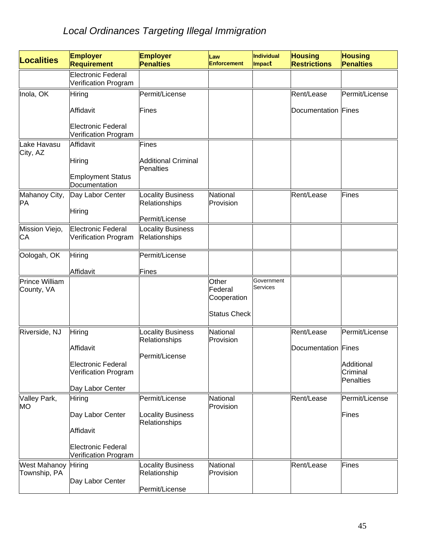| <b>Localities</b>                   | <b>Employer</b><br><b>Requirement</b>                    | <b>Employer</b><br><b>Penalties</b>            | Law<br><b>Enforcement</b>                              | Individual<br>Impact   | <b>Housing</b><br><b>Restrictions</b> | <b>Housing</b><br><b>Penalties</b> |
|-------------------------------------|----------------------------------------------------------|------------------------------------------------|--------------------------------------------------------|------------------------|---------------------------------------|------------------------------------|
|                                     | <b>Electronic Federal</b><br>Verification Program        |                                                |                                                        |                        |                                       |                                    |
| Inola, OK                           | Hiring                                                   | Permit/License                                 |                                                        |                        | Rent/Lease                            | Permit/License                     |
|                                     | Affidavit                                                | Fines                                          |                                                        |                        | Documentation Fines                   |                                    |
|                                     | <b>Electronic Federal</b><br>Verification Program        |                                                |                                                        |                        |                                       |                                    |
| Lake Havasu                         | Affidavit                                                | <b>Fines</b>                                   |                                                        |                        |                                       |                                    |
| City, AZ                            | Hiring                                                   | <b>Additional Criminal</b><br><b>Penalties</b> |                                                        |                        |                                       |                                    |
|                                     | <b>Employment Status</b><br>Documentation                |                                                |                                                        |                        |                                       |                                    |
| Mahanoy City,<br>PA                 | Day Labor Center                                         | <b>Locality Business</b><br>Relationships      | National<br>Provision                                  |                        | Rent/Lease                            | <b>Fines</b>                       |
|                                     | Hiring                                                   | Permit/License                                 |                                                        |                        |                                       |                                    |
| Mission Viejo,<br>CA                | <b>Electronic Federal</b><br>Verification Program        | <b>Locality Business</b><br>Relationships      |                                                        |                        |                                       |                                    |
| Oologah, OK                         | Hiring                                                   | Permit/License                                 |                                                        |                        |                                       |                                    |
|                                     | Affidavit                                                | Fines                                          |                                                        |                        |                                       |                                    |
| Prince William<br>County, VA        |                                                          |                                                | Other<br>Federal<br>Cooperation<br><b>Status Check</b> | Government<br>Services |                                       |                                    |
| Riverside, NJ                       | Hiring                                                   | cocality Business                              | National                                               |                        | Rent/Lease                            | Permit/License                     |
|                                     | Affidavit                                                | Relationships                                  | Provision                                              |                        | Documentation Fines                   |                                    |
|                                     | <b>Electronic Federal</b>                                | Permit/License                                 |                                                        |                        |                                       | Additional                         |
|                                     | Verification Program                                     |                                                |                                                        |                        |                                       | Criminal                           |
|                                     | Day Labor Center                                         |                                                |                                                        |                        |                                       | Penalties                          |
| Valley Park,                        | Hiring                                                   | Permit/License                                 | National<br>Provision                                  |                        | Rent/Lease                            | Permit/License                     |
| MO                                  | Day Labor Center                                         | <b>Locality Business</b>                       |                                                        |                        |                                       | Fines                              |
|                                     | Affidavit                                                | Relationships                                  |                                                        |                        |                                       |                                    |
|                                     | <b>Electronic Federal</b><br><b>Verification Program</b> |                                                |                                                        |                        |                                       |                                    |
| <b>West Mahanoy</b><br>Township, PA | Hiring                                                   | <b>Locality Business</b><br>Relationship       | National<br>Provision                                  |                        | Rent/Lease                            | Fines                              |
|                                     | Day Labor Center                                         | Permit/License                                 |                                                        |                        |                                       |                                    |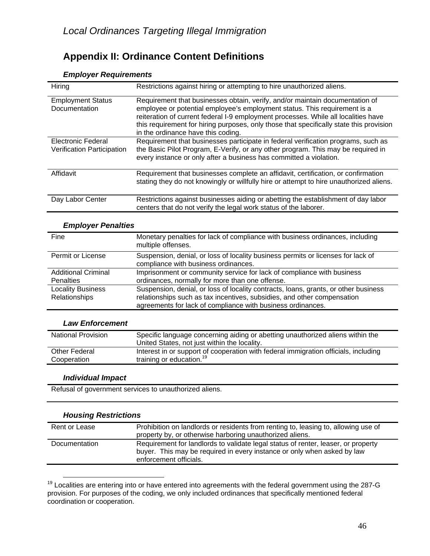## **Appendix II: Ordinance Content Definitions**

#### Hiring Restrictions against hiring or attempting to hire unauthorized aliens. Employment Status **Documentation** Requirement that businesses obtain, verify, and/or maintain documentation of employee or potential employee's employment status. This requirement is a reiteration of current federal I-9 employment processes. While all localities have this requirement for hiring purposes, only those that specifically state this provision in the ordinance have this coding. Electronic Federal Verification Participation Requirement that businesses participate in federal verification programs, such as the Basic Pilot Program, E-Verify, or any other program. This may be required in every instance or only after a business has committed a violation. Affidavit Requirement that businesses complete an affidavit, certification, or confirmation stating they do not knowingly or willfully hire or attempt to hire unauthorized aliens. Day Labor Center Restrictions against businesses aiding or abetting the establishment of day labor centers that do not verify the legal work status of the laborer.

#### *Employer Requirements*

#### *Employer Penalties*

| Fine                                           | Monetary penalties for lack of compliance with business ordinances, including<br>multiple offenses.                                                                                                                           |
|------------------------------------------------|-------------------------------------------------------------------------------------------------------------------------------------------------------------------------------------------------------------------------------|
| Permit or License                              | Suspension, denial, or loss of locality business permits or licenses for lack of<br>compliance with business ordinances.                                                                                                      |
| <b>Additional Criminal</b><br><b>Penalties</b> | Imprisonment or community service for lack of compliance with business<br>ordinances, normally for more than one offense.                                                                                                     |
| <b>Locality Business</b><br>Relationships      | Suspension, denial, or loss of locality contracts, loans, grants, or other business<br>relationships such as tax incentives, subsidies, and other compensation<br>agreements for lack of compliance with business ordinances. |

#### *Law Enforcement*

| <b>National Provision</b> | Specific language concerning aiding or abetting unauthorized aliens within the<br>United States, not just within the locality. |
|---------------------------|--------------------------------------------------------------------------------------------------------------------------------|
| <b>Other Federal</b>      | Interest in or support of cooperation with federal immigration officials, including                                            |
| Cooperation               | training or education. <sup>19</sup>                                                                                           |

#### *Individual Impact*

Refusal of government services to unauthorized aliens.

## *Housing Restrictions*

| Rent or Lease | Prohibition on landlords or residents from renting to, leasing to, allowing use of<br>property by, or otherwise harboring unauthorized aliens.                                         |
|---------------|----------------------------------------------------------------------------------------------------------------------------------------------------------------------------------------|
| Documentation | Requirement for landlords to validate legal status of renter, leaser, or property<br>buyer. This may be required in every instance or only when asked by law<br>enforcement officials. |

 $19$  Localities are entering into or have entered into agreements with the federal government using the 287-G provision. For purposes of the coding, we only included ordinances that specifically mentioned federal coordination or cooperation.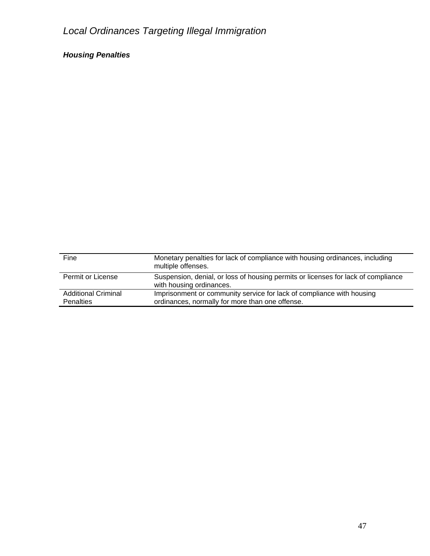## *Housing Penalties*

| Fine                                           | Monetary penalties for lack of compliance with housing ordinances, including<br>multiple offenses.                       |
|------------------------------------------------|--------------------------------------------------------------------------------------------------------------------------|
| Permit or License                              | Suspension, denial, or loss of housing permits or licenses for lack of compliance<br>with housing ordinances.            |
| <b>Additional Criminal</b><br><b>Penalties</b> | Imprisonment or community service for lack of compliance with housing<br>ordinances, normally for more than one offense. |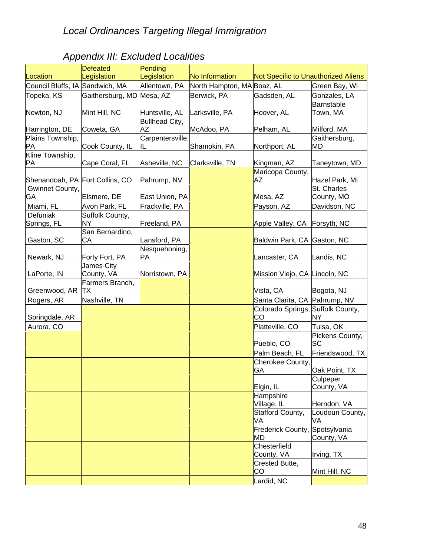# *Appendix III: Excluded Localities*

|                                 | <b>Defeated</b>           | Pending          |                            |                                         |                     |
|---------------------------------|---------------------------|------------------|----------------------------|-----------------------------------------|---------------------|
| Location                        | Legislation               | Legislation      | No Information             | Not Specific to Unauthorized Aliens     |                     |
| Council Bluffs, IA Sandwich, MA |                           | Allentown, PA    | North Hampton, MA Boaz, AL |                                         | Green Bay, WI       |
| Topeka, KS                      | Gaithersburg, MD Mesa, AZ |                  | Berwick, PA                | Gadsden, AL                             | Gonzales, LA        |
|                                 |                           |                  |                            |                                         | Barnstable          |
| Newton, NJ                      | Mint Hill, NC             | Huntsville, AL   | Larksville, PA             | Hoover, AL                              | Town, MA            |
|                                 |                           | Bullhead City,   |                            |                                         |                     |
| Harrington, DE                  | Coweta, GA                | <b>AZ</b>        | McAdoo, PA                 | Pelham, AL                              | Milford, MA         |
| Plains Township,<br>PA          |                           | Carpentersville, |                            | Northport, AL                           | Gaithersburg,<br>MD |
| Kline Township,                 | Cook County, IL           | IL               | Shamokin, PA               |                                         |                     |
| PA                              | Cape Coral, FL            | Asheville, NC    | Clarksville, TN            | Kingman, AZ                             | Taneytown, MD       |
|                                 |                           |                  |                            | Maricopa County,                        |                     |
| Shenandoah, PA Fort Collins, CO |                           | Pahrump, NV      |                            | ΑZ                                      | Hazel Park, MI      |
| Gwinnet County,                 |                           |                  |                            |                                         | St. Charles         |
| GA                              | Elsmere, DE               | East Union, PA   |                            | Mesa, AZ                                | County, MO          |
| Miami, FL                       | Avon Park, FL             | Frackville, PA   |                            | Payson, AZ                              | Davidson, NC        |
| Defuniak                        | Suffolk County,           |                  |                            |                                         |                     |
| Springs, FL                     | <b>NY</b>                 | Freeland, PA     |                            | Apple Valley, CA                        | Forsyth, NC         |
|                                 | San Bernardino,           |                  |                            |                                         |                     |
| Gaston, SC                      | CA                        | Lansford, PA     |                            | Baldwin Park, CA Gaston, NC             |                     |
|                                 |                           | Nesquehoning,    |                            |                                         |                     |
| Newark, NJ                      | Forty Fort, PA            | PA               |                            | Lancaster, CA                           | Landis, NC          |
|                                 | James City                |                  |                            |                                         |                     |
| LaPorte, IN                     | County, VA                | Norristown, PA   |                            | Mission Viejo, CA Lincoln, NC           |                     |
|                                 | Farmers Branch,           |                  |                            |                                         |                     |
| Greenwood, AR                   | TХ                        |                  |                            | Vista, CA                               | Bogota, NJ          |
| Rogers, AR                      | Nashville, TN             |                  |                            | Santa Clarita, CA Pahrump, NV           |                     |
| Springdale, AR                  |                           |                  |                            | Colorado Springs, Suffolk County,<br>CO | NΥ                  |
| Aurora, CO                      |                           |                  |                            | Platteville, CO                         | Tulsa, OK           |
|                                 |                           |                  |                            |                                         | Pickens County,     |
|                                 |                           |                  |                            | Pueblo, CO                              | <b>SC</b>           |
|                                 |                           |                  |                            | Palm Beach, FL                          | Friendswood, TX     |
|                                 |                           |                  |                            | Cherokee County,                        |                     |
|                                 |                           |                  |                            | GA                                      | Oak Point, TX       |
|                                 |                           |                  |                            |                                         | Culpeper            |
|                                 |                           |                  |                            | Elgin, IL                               | County, VA          |
|                                 |                           |                  |                            | Hampshire                               |                     |
|                                 |                           |                  |                            | Village, IL                             | Herndon, VA         |
|                                 |                           |                  |                            | Stafford County,                        | Loudoun County,     |
|                                 |                           |                  |                            | VA                                      | VA                  |
|                                 |                           |                  |                            | Frederick County,                       | Spotsylvania        |
|                                 |                           |                  |                            | MD                                      | County, VA          |
|                                 |                           |                  |                            | Chesterfield                            |                     |
|                                 |                           |                  |                            | County, VA                              | Irving, TX          |
|                                 |                           |                  |                            | Crested Butte,<br>CO                    | Mint Hill, NC       |
|                                 |                           |                  |                            | Lardid, NC                              |                     |
|                                 |                           |                  |                            |                                         |                     |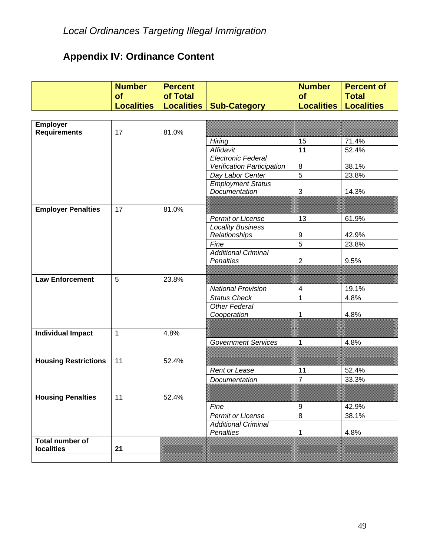# **Appendix IV: Ordinance Content**

|                             | <b>Number</b>     | <b>Percent</b>    |                                                 | <b>Number</b>            | <b>Percent of</b> |
|-----------------------------|-------------------|-------------------|-------------------------------------------------|--------------------------|-------------------|
|                             | <b>of</b>         | of Total          |                                                 | <b>of</b>                | <b>Total</b>      |
|                             | <b>Localities</b> | <b>Localities</b> | <b>Sub-Category</b>                             | <b>Localities</b>        | <b>Localities</b> |
|                             |                   |                   |                                                 |                          |                   |
| <b>Employer</b>             |                   |                   |                                                 |                          |                   |
| <b>Requirements</b>         | 17                | 81.0%             |                                                 | 15                       | 71.4%             |
|                             |                   |                   | Hiring<br>Affidavit                             | 11                       | 52.4%             |
|                             |                   |                   | <b>Electronic Federal</b>                       |                          |                   |
|                             |                   |                   | Verification Participation                      | 8                        | 38.1%             |
|                             |                   |                   | Day Labor Center                                | 5                        | 23.8%             |
|                             |                   |                   | <b>Employment Status</b>                        |                          |                   |
|                             |                   |                   | Documentation                                   | 3                        | 14.3%             |
|                             |                   |                   |                                                 |                          |                   |
| <b>Employer Penalties</b>   | 17                | 81.0%             |                                                 |                          |                   |
|                             |                   |                   | Permit or License                               | 13                       | 61.9%             |
|                             |                   |                   | <b>Locality Business</b>                        |                          |                   |
|                             |                   |                   | Relationships                                   | 9<br>$\overline{5}$      | 42.9%             |
|                             |                   |                   | Fine<br><b>Additional Criminal</b>              |                          | 23.8%             |
|                             |                   |                   | <b>Penalties</b>                                | $\overline{2}$           | 9.5%              |
|                             |                   |                   |                                                 |                          |                   |
| <b>Law Enforcement</b>      | 5                 | 23.8%             |                                                 |                          |                   |
|                             |                   |                   | <b>National Provision</b>                       | $\overline{\mathcal{A}}$ | 19.1%             |
|                             |                   |                   | <b>Status Check</b>                             | 1                        | 4.8%              |
|                             |                   |                   | <b>Other Federal</b>                            |                          |                   |
|                             |                   |                   | Cooperation                                     | 1                        | 4.8%              |
|                             |                   |                   |                                                 |                          |                   |
| <b>Individual Impact</b>    | $\mathbf{1}$      | 4.8%              |                                                 |                          |                   |
|                             |                   |                   | <b>Government Services</b>                      | 1                        | 4.8%              |
|                             |                   |                   |                                                 |                          |                   |
| <b>Housing Restrictions</b> | 11                | 52.4%             |                                                 |                          |                   |
|                             |                   |                   | Rent or Lease                                   | 11                       | 52.4%             |
|                             |                   |                   | Documentation                                   | $\overline{7}$           | 33.3%             |
|                             |                   |                   |                                                 |                          |                   |
| <b>Housing Penalties</b>    | 11                | 52.4%             |                                                 |                          |                   |
|                             |                   |                   | Fine                                            | 9<br>$\,8\,$             | 42.9%             |
|                             |                   |                   | Permit or License<br><b>Additional Criminal</b> |                          | 38.1%             |
|                             |                   |                   | Penalties                                       | 1                        | 4.8%              |
| Total number of             |                   |                   |                                                 |                          |                   |
| <b>localities</b>           | 21                |                   |                                                 |                          |                   |
|                             |                   |                   |                                                 |                          |                   |